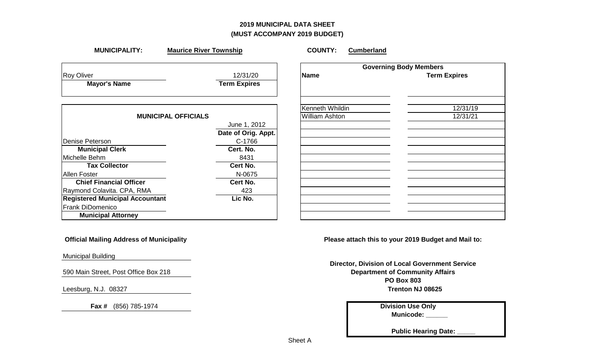## **2019 MUNICIPAL DATA SHEET (MUST ACCOMPANY 2019 BUDGET)**

| <b>MUNICIPALITY:</b>                   | <b>Maurice River Township</b> | <b>COUNTY:</b><br><b>Cumberland</b> |                               |
|----------------------------------------|-------------------------------|-------------------------------------|-------------------------------|
|                                        |                               |                                     | <b>Governing Body Members</b> |
| <b>Roy Oliver</b>                      | 12/31/20                      | Name                                | <b>Term Expires</b>           |
| <b>Mayor's Name</b>                    | <b>Term Expires</b>           |                                     |                               |
|                                        |                               | Kenneth Whildin                     | 12/31/19                      |
| <b>MUNICIPAL OFFICIALS</b>             |                               | <b>William Ashton</b>               | 12/31/21                      |
|                                        | June 1, 2012                  |                                     |                               |
|                                        | Date of Orig. Appt.           |                                     |                               |
| Denise Peterson                        | C-1766                        |                                     |                               |
| <b>Municipal Clerk</b>                 | Cert. No.                     |                                     |                               |
| Michelle Behm                          | 8431                          |                                     |                               |
| <b>Tax Collector</b>                   | Cert No.                      |                                     |                               |
| <b>Allen Foster</b>                    | N-0675                        |                                     |                               |
| <b>Chief Financial Officer</b>         | Cert No.                      |                                     |                               |
| Raymond Colavita. CPA, RMA             | 423                           |                                     |                               |
| <b>Registered Municipal Accountant</b> | Lic No.                       |                                     |                               |
| <b>Frank DiDomenico</b>                |                               |                                     |                               |
| <b>Municipal Attorney</b>              |                               |                                     |                               |

Municipal Building

590 Main Street, Post Office Box 218

 **Fax #** (856) 785-1974 **Division Use Only**

 **Official Mailing Address of Municipality Please attach this to your 2019 Budget and Mail to:**

Leesburg, N.J. 08327 **Trenton NJ 08625 Department of Community Affairs PO Box 803 Director, Division of Local Government Service**

**Municode: \_\_\_\_\_\_**

**Public Hearing Date:**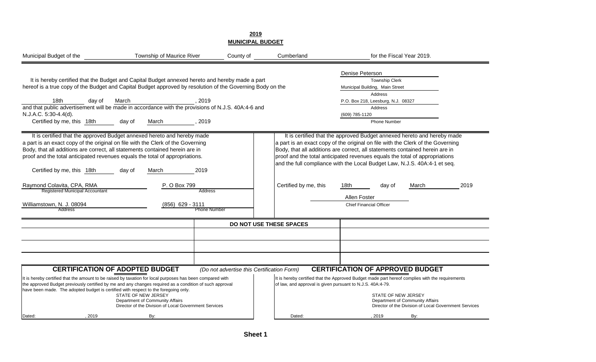|                                                                                                                                                                                                                                                                               | <b>MUNICIPAL BUDGET</b>                                                                                                                                                                                                                                                                                                                                                           |                                            |                                                            |                                                                                                                                                                                                                                                                                                                                                                                                        |                                                                                          |  |
|-------------------------------------------------------------------------------------------------------------------------------------------------------------------------------------------------------------------------------------------------------------------------------|-----------------------------------------------------------------------------------------------------------------------------------------------------------------------------------------------------------------------------------------------------------------------------------------------------------------------------------------------------------------------------------|--------------------------------------------|------------------------------------------------------------|--------------------------------------------------------------------------------------------------------------------------------------------------------------------------------------------------------------------------------------------------------------------------------------------------------------------------------------------------------------------------------------------------------|------------------------------------------------------------------------------------------|--|
| Municipal Budget of the                                                                                                                                                                                                                                                       | Township of Maurice River                                                                                                                                                                                                                                                                                                                                                         | County of                                  | Cumberland                                                 | for the Fiscal Year 2019.                                                                                                                                                                                                                                                                                                                                                                              |                                                                                          |  |
| 18th<br>day of<br>N.J.A.C. 5:30-4.4(d).<br>Certified by me, this 18th                                                                                                                                                                                                         | It is hereby certified that the Budget and Capital Budget annexed hereto and hereby made a part<br>hereof is a true copy of the Budget and Capital Budget approved by resolution of the Governing Body on the<br>March<br>, 2019<br>and that public advertisement will be made in accordance with the provisions of N.J.S. 40A:4-6 and<br>day of<br>March<br>, 2019               |                                            |                                                            | Denise Peterson<br><b>Township Clerk</b><br>Municipal Building, Main Street<br>Address<br>P.O. Box 218, Leesburg, N.J. 08327<br>Address<br>(609) 785-1120<br><b>Phone Number</b>                                                                                                                                                                                                                       |                                                                                          |  |
| a part is an exact copy of the original on file with the Clerk of the Governing<br>Body, that all additions are correct, all statements contained herein are in<br>proof and the total anticipated revenues equals the total of appropriations.<br>Certified by me, this 18th | It is certified that the approved Budget annexed hereto and hereby made<br>2019<br>day of<br>March                                                                                                                                                                                                                                                                                |                                            |                                                            | It is certified that the approved Budget annexed hereto and hereby made<br>a part is an exact copy of the original on file with the Clerk of the Governing<br>Body, that all additions are correct, all statements contained herein are in<br>proof and the total anticipated revenues equals the total of appropriations<br>and the full compliance with the Local Budget Law, N.J.S. 40A:4-1 et seq. |                                                                                          |  |
| Raymond Colavita, CPA, RMA<br>Registered Municipal Accountant<br>Williamstown, N. J. 08094<br>Address                                                                                                                                                                         | P. O Box 799<br><b>Address</b><br>(856) 629 - 3111<br><b>Phone Number</b>                                                                                                                                                                                                                                                                                                         |                                            | Certified by me, this                                      | 18th<br>day of<br>Allen Foster<br><b>Chief Financial Officer</b>                                                                                                                                                                                                                                                                                                                                       | 2019<br>March                                                                            |  |
|                                                                                                                                                                                                                                                                               |                                                                                                                                                                                                                                                                                                                                                                                   | DO NOT USE THESE SPACES                    |                                                            |                                                                                                                                                                                                                                                                                                                                                                                                        |                                                                                          |  |
|                                                                                                                                                                                                                                                                               |                                                                                                                                                                                                                                                                                                                                                                                   |                                            |                                                            |                                                                                                                                                                                                                                                                                                                                                                                                        |                                                                                          |  |
|                                                                                                                                                                                                                                                                               |                                                                                                                                                                                                                                                                                                                                                                                   |                                            |                                                            |                                                                                                                                                                                                                                                                                                                                                                                                        |                                                                                          |  |
| have been made. The adopted budget is certified with respect to the foregoing only.                                                                                                                                                                                           | <b>CERTIFICATION OF ADOPTED BUDGET</b><br>It is hereby certified that the amount to be raised by taxation for local purposes has been compared with<br>the approved Budget previously certified by me and any changes required as a condition of such approval<br>STATE OF NEW JERSEY<br>Department of Community Affairs<br>Director of the Division of Local Government Services | (Do not advertise this Certification Form) | of law, and approval is given pursuant to N.J.S. 40A:4-79. | <b>CERTIFICATION OF APPROVED BUDGET</b><br>It is hereby certified that the Approved Budget made part hereof complies with the requirements<br><b>STATE OF NEW JERSEY</b>                                                                                                                                                                                                                               | Department of Community Affairs<br>Director of the Division of Local Government Services |  |
| 2019<br>Dated:                                                                                                                                                                                                                                                                | By:                                                                                                                                                                                                                                                                                                                                                                               |                                            | Dated:                                                     | 2019                                                                                                                                                                                                                                                                                                                                                                                                   | By:                                                                                      |  |

**2019**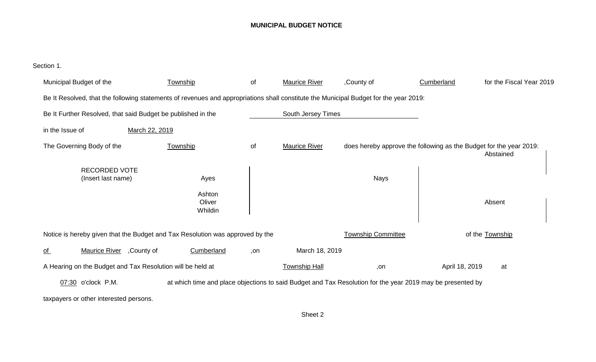#### **MUNICIPAL BUDGET NOTICE**

Section 1.

| Municipal Budget of the                                                                                                               |                | Township                                                                                                   | of  | <b>Maurice River</b> | ,County of                                                         | Cumberland     | for the Fiscal Year 2019 |
|---------------------------------------------------------------------------------------------------------------------------------------|----------------|------------------------------------------------------------------------------------------------------------|-----|----------------------|--------------------------------------------------------------------|----------------|--------------------------|
| Be It Resolved, that the following statements of revenues and appropriations shall constitute the Municipal Budget for the year 2019: |                |                                                                                                            |     |                      |                                                                    |                |                          |
| Be It Further Resolved, that said Budget be published in the                                                                          |                |                                                                                                            |     | South Jersey Times   |                                                                    |                |                          |
| in the Issue of                                                                                                                       | March 22, 2019 |                                                                                                            |     |                      |                                                                    |                |                          |
| The Governing Body of the                                                                                                             |                | Township                                                                                                   | of  | <b>Maurice River</b> | does hereby approve the following as the Budget for the year 2019: |                | Abstained                |
| <b>RECORDED VOTE</b><br>(Insert last name)                                                                                            |                | Ayes<br>Ashton<br>Oliver<br>Whildin                                                                        |     |                      | <b>Nays</b>                                                        |                | Absent                   |
| Notice is hereby given that the Budget and Tax Resolution was approved by the                                                         |                |                                                                                                            |     |                      | <b>Township Committee</b>                                          |                | of the Township          |
| <b>Maurice River</b><br><u>of</u>                                                                                                     | ,County of     | Cumberland                                                                                                 | ,on | March 18, 2019       |                                                                    |                |                          |
| A Hearing on the Budget and Tax Resolution will be held at                                                                            |                |                                                                                                            |     | <b>Township Hall</b> | ,on                                                                | April 18, 2019 | at                       |
| 07:30 o'clock P.M.                                                                                                                    |                | at which time and place objections to said Budget and Tax Resolution for the year 2019 may be presented by |     |                      |                                                                    |                |                          |
| taxpayers or other interested persons.                                                                                                |                |                                                                                                            |     |                      |                                                                    |                |                          |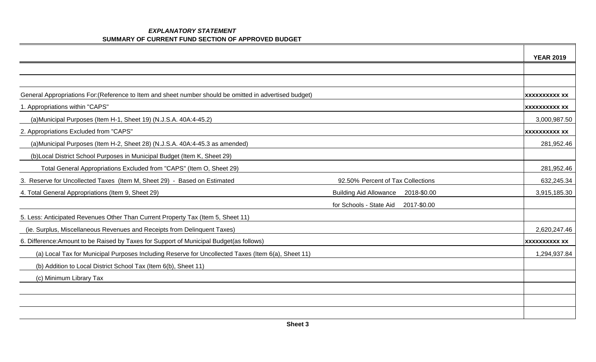#### *EXPLANATORY STATEMENT*  **SUMMARY OF CURRENT FUND SECTION OF APPROVED BUDGET**

|                                                                                                         |                                              | <b>YEAR 2019</b>     |
|---------------------------------------------------------------------------------------------------------|----------------------------------------------|----------------------|
|                                                                                                         |                                              |                      |
|                                                                                                         |                                              |                      |
| General Appropriations For: (Reference to Item and sheet number should be omitted in advertised budget) |                                              | <b>XXXXXXXXXX XX</b> |
| 1. Appropriations within "CAPS"                                                                         |                                              | <b>XXXXXXXXXX XX</b> |
| (a)Municipal Purposes (Item H-1, Sheet 19) (N.J.S.A. 40A:4-45.2)                                        |                                              | 3,000,987.50         |
| 2. Appropriations Excluded from "CAPS"                                                                  |                                              | <b>XXXXXXXXXX XX</b> |
| (a)Municipal Purposes (Item H-2, Sheet 28) (N.J.S.A. 40A:4-45.3 as amended)                             |                                              | 281,952.46           |
| (b) Local District School Purposes in Municipal Budget (Item K, Sheet 29)                               |                                              |                      |
| Total General Appropriations Excluded from "CAPS" (Item O, Sheet 29)                                    |                                              | 281,952.46           |
| 3. Reserve for Uncollected Taxes (Item M, Sheet 29) - Based on Estimated                                | 92.50% Percent of Tax Collections            | 632,245.34           |
| 4. Total General Appropriations (Item 9, Sheet 29)                                                      | <b>Building Aid Allowance</b><br>2018-\$0.00 | 3,915,185.30         |
|                                                                                                         | for Schools - State Aid<br>2017-\$0.00       |                      |
| 5. Less: Anticipated Revenues Other Than Current Property Tax (Item 5, Sheet 11)                        |                                              |                      |
| (ie. Surplus, Miscellaneous Revenues and Receipts from Delinquent Taxes)                                |                                              | 2,620,247.46         |
| 6. Difference: Amount to be Raised by Taxes for Support of Municipal Budget(as follows)                 |                                              | <b>XXXXXXXXXX XX</b> |
| (a) Local Tax for Municipal Purposes Including Reserve for Uncollected Taxes (Item 6(a), Sheet 11)      |                                              | 1,294,937.84         |
| (b) Addition to Local District School Tax (Item 6(b), Sheet 11)                                         |                                              |                      |
| (c) Minimum Library Tax                                                                                 |                                              |                      |
|                                                                                                         |                                              |                      |
|                                                                                                         |                                              |                      |
|                                                                                                         |                                              |                      |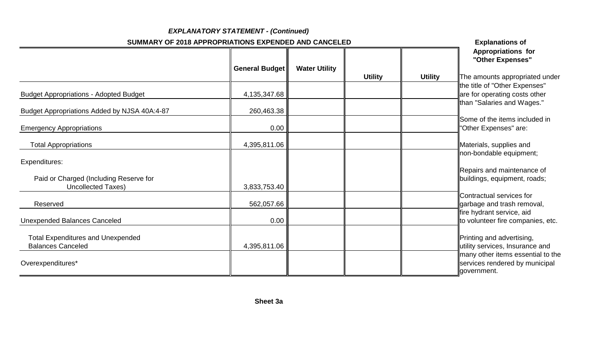|                                                                      | <b>EXPLANATORY STATEMENT - (Continued)</b>           |                      |                |                |                                                                                    |
|----------------------------------------------------------------------|------------------------------------------------------|----------------------|----------------|----------------|------------------------------------------------------------------------------------|
|                                                                      | SUMMARY OF 2018 APPROPRIATIONS EXPENDED AND CANCELED |                      |                |                | <b>Explanations of</b>                                                             |
|                                                                      | <b>General Budget</b>                                | <b>Water Utility</b> | <b>Utility</b> | <b>Utility</b> | <b>Appropriations for</b><br>"Other Expenses"<br>The amounts appropriated under    |
| <b>Budget Appropriations - Adopted Budget</b>                        | 4,135,347.68                                         |                      |                |                | the title of "Other Expenses"<br>are for operating costs other                     |
| Budget Appropriations Added by NJSA 40A:4-87                         | 260,463.38                                           |                      |                |                | than "Salaries and Wages."<br>Some of the items included in                        |
| <b>Emergency Appropriations</b>                                      | 0.00                                                 |                      |                |                | "Other Expenses" are:                                                              |
| <b>Total Appropriations</b>                                          | 4,395,811.06                                         |                      |                |                | Materials, supplies and<br>non-bondable equipment;                                 |
| Expenditures:<br>Paid or Charged (Including Reserve for              |                                                      |                      |                |                | Repairs and maintenance of<br>buildings, equipment, roads;                         |
| <b>Uncollected Taxes)</b><br>Reserved                                | 3,833,753.40<br>562,057.66                           |                      |                |                | Contractual services for<br>garbage and trash removal,                             |
| <b>Unexpended Balances Canceled</b>                                  | 0.00                                                 |                      |                |                | fire hydrant service, aid<br>to volunteer fire companies, etc.                     |
| <b>Total Expenditures and Unexpended</b><br><b>Balances Canceled</b> | 4,395,811.06                                         |                      |                |                | Printing and advertising,<br>utility services, Insurance and                       |
| Overexpenditures*                                                    |                                                      |                      |                |                | many other items essential to the<br>services rendered by municipal<br>government. |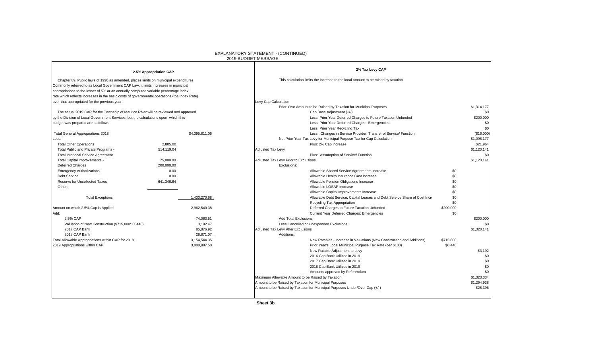| 2.5% Appropriation CAP<br>Chapter 89, Public laws of 1990 as amended, places limits on municipal expenditures<br>Commonly referred to as Local Government CAP Law, it limits increases in municipal<br>appropriations to the lesser of 5% or an annually computed variable percentage index<br>rate which reflects increases in the basic costs of governmental operations (the Index Rate)<br>over that appropriated for the previous year. |                           | 2% Tax Levy CAP                                                                                |           |             |
|----------------------------------------------------------------------------------------------------------------------------------------------------------------------------------------------------------------------------------------------------------------------------------------------------------------------------------------------------------------------------------------------------------------------------------------------|---------------------------|------------------------------------------------------------------------------------------------|-----------|-------------|
|                                                                                                                                                                                                                                                                                                                                                                                                                                              |                           |                                                                                                |           |             |
|                                                                                                                                                                                                                                                                                                                                                                                                                                              |                           | This calculation limits the increase to the local amount to be raised by taxation.             |           |             |
|                                                                                                                                                                                                                                                                                                                                                                                                                                              |                           |                                                                                                |           |             |
|                                                                                                                                                                                                                                                                                                                                                                                                                                              |                           | Levy Cap Calculation                                                                           |           | \$1,314,177 |
| The actual 2019 CAP for the Township of Maurice River will be reviewed and approved                                                                                                                                                                                                                                                                                                                                                          |                           | Prior Year Amount to be Raised by Taxation for Municipal Purposes<br>Cap Base Adjustment (+/-) |           | \$0         |
| by the Division of Local Government Services, but the calculations upon which this                                                                                                                                                                                                                                                                                                                                                           |                           | Less: Prior Year Deferred Charges to Future Taxation Unfunded                                  |           | \$200,000   |
| budget was prepared are as follows:                                                                                                                                                                                                                                                                                                                                                                                                          |                           | Less: Prior Year Deferred Charges: Emergencies                                                 |           | \$0         |
|                                                                                                                                                                                                                                                                                                                                                                                                                                              |                           | Less: Prior Year Recycling Tax                                                                 |           | \$0         |
| <b>Total General Appropriations 2018</b>                                                                                                                                                                                                                                                                                                                                                                                                     | \$4,395,811.06            | Less: Changes in Service Provider: Transfer of Service/ Function                               |           | (\$16,000)  |
| _ess:                                                                                                                                                                                                                                                                                                                                                                                                                                        |                           | Net Prior Year Tax Levy for Municipal Purpose Tax for Cap Calculation                          |           | \$1,098,177 |
| <b>Total Other Operations</b><br>2.805.00                                                                                                                                                                                                                                                                                                                                                                                                    |                           | Plus: 2% Cap increase                                                                          |           | \$21.964    |
| Total Public and Private Programs -<br>514,119.04                                                                                                                                                                                                                                                                                                                                                                                            |                           | Adjusted Tax Levy                                                                              |           | \$1,120,141 |
| <b>Total Interlocal Service Agreement</b>                                                                                                                                                                                                                                                                                                                                                                                                    |                           | Plus: Assumption of Service/ Function                                                          |           | \$0         |
| Total Capital Improvements -<br>75,000.00                                                                                                                                                                                                                                                                                                                                                                                                    |                           | Adjusted Tax Levy Prior to Exclusions                                                          |           | \$1,120,141 |
| 200,000.00<br><b>Deferred Charges</b>                                                                                                                                                                                                                                                                                                                                                                                                        |                           | Exclusions:                                                                                    |           |             |
| <b>Emergency Authorizations -</b>                                                                                                                                                                                                                                                                                                                                                                                                            | 0.00                      | Allowable Shared Service Agreements Increase                                                   | \$0       |             |
| Debt Service                                                                                                                                                                                                                                                                                                                                                                                                                                 | 0.00                      | Allowable Health Insurance Cost Increase                                                       | \$0       |             |
| Reserve for Uncollected Taxes<br>641,346.64                                                                                                                                                                                                                                                                                                                                                                                                  |                           | Allowable Pension Obligations Increase                                                         | \$0       |             |
| Other:                                                                                                                                                                                                                                                                                                                                                                                                                                       |                           | Allowable LOSAP Increase                                                                       | \$0       |             |
|                                                                                                                                                                                                                                                                                                                                                                                                                                              |                           | Allowable Capital Improvements Increase                                                        | \$0       |             |
| <b>Total Exceptions</b>                                                                                                                                                                                                                                                                                                                                                                                                                      | 1,433,270.68              | Allowable Debt Service, Capital Leases and Debt Service Share of Cost Incre                    | \$0       |             |
|                                                                                                                                                                                                                                                                                                                                                                                                                                              |                           | Recycling Tax Appropriation                                                                    | \$0       |             |
| Amount on which 2.5% Cap is Applied                                                                                                                                                                                                                                                                                                                                                                                                          | 2.962.540.38              | Deferred Charges to Future Taxation Unfunded                                                   | \$200,000 |             |
| Add:                                                                                                                                                                                                                                                                                                                                                                                                                                         |                           | Current Year Deferred Charges: Emergencies                                                     | \$0       |             |
| 2.5% CAP                                                                                                                                                                                                                                                                                                                                                                                                                                     | 74,063.51                 | <b>Add Total Exclusions</b>                                                                    |           | \$200,000   |
| Valuation of New Construction (\$715,800*.00446)                                                                                                                                                                                                                                                                                                                                                                                             | 3,192.47                  | Less Cancelled or Unexpended Exclusions                                                        |           | \$0         |
| 2017 CAP Bank                                                                                                                                                                                                                                                                                                                                                                                                                                | 85,876.92                 | Adjusted Tax Levy After Exclusions                                                             |           | \$1,320,141 |
| 2018 CAP Bank                                                                                                                                                                                                                                                                                                                                                                                                                                | 28,871.07<br>3,154,544.35 | Additions:<br>New Ratables - Increase in Valuations (New Construction and Additions)           | \$715,800 |             |
| Total Allowable Appropriations within CAP for 2018<br>2019 Appropriations within CAP                                                                                                                                                                                                                                                                                                                                                         | 3,000,987.50              | Prior Year's Local Municipal Purpose Tax Rate (per \$100)                                      | \$0.446   |             |
|                                                                                                                                                                                                                                                                                                                                                                                                                                              |                           | New Ratable Adjustment to Levy                                                                 |           | \$3,192     |
|                                                                                                                                                                                                                                                                                                                                                                                                                                              |                           | 2016 Cap Bank Utilized in 2019                                                                 |           | \$0         |
|                                                                                                                                                                                                                                                                                                                                                                                                                                              |                           | 2017 Cap Bank Utilized in 2019                                                                 |           | \$0         |
|                                                                                                                                                                                                                                                                                                                                                                                                                                              |                           | 2018 Cap Bank Utilized in 2019                                                                 |           | \$0         |
|                                                                                                                                                                                                                                                                                                                                                                                                                                              |                           | Amounts approved by Referendum                                                                 |           | \$0         |
|                                                                                                                                                                                                                                                                                                                                                                                                                                              |                           | Maximum Allowable Amount to be Raised by Taxation                                              |           | \$1,323,334 |
|                                                                                                                                                                                                                                                                                                                                                                                                                                              |                           | Amount to be Raised by Taxation for Municipal Purposes                                         |           | \$1,294,938 |
|                                                                                                                                                                                                                                                                                                                                                                                                                                              |                           | Amount to be Raised by Taxation for Municipal Purposes Under/Over Cap (+/-)                    |           | \$28,396    |

#### EXPLANATORY STATEMENT - (CONTINUED)

 **Sheet 3b**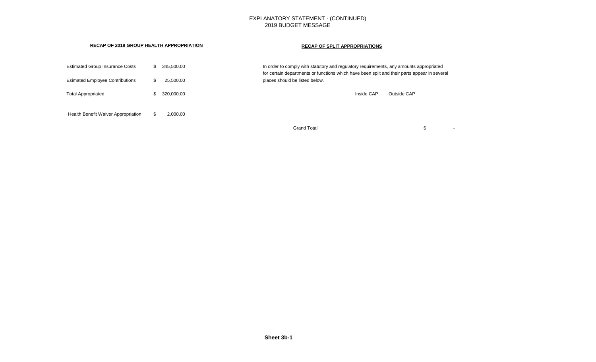#### EXPLANATORY STATEMENT - (CONTINUED) 2019 BUDGET MESSAGE

#### **RECAP OF 2018 GROUP HEALTH APPROPRIATION RECAP OF SPLIT APPROPRIATIONS**

| <b>Estimated Group Insurance Costs</b><br><b>Esimated Employee Contributions</b> |     | 345.500.00<br>25.500.00 | In order to comply with statutory and regulatory requirements, any amounts appropriated<br>for certain departments or functions which have been split and their parts appear in several<br>places should be listed below. |  |
|----------------------------------------------------------------------------------|-----|-------------------------|---------------------------------------------------------------------------------------------------------------------------------------------------------------------------------------------------------------------------|--|
| <b>Total Appropriated</b>                                                        |     | 320.000.00              | Inside CAP<br>Outside CAP                                                                                                                                                                                                 |  |
| Health Benefit Waiver Appropriation                                              | -SG | 2.000.00                |                                                                                                                                                                                                                           |  |
|                                                                                  |     |                         | <b>Grand Total</b>                                                                                                                                                                                                        |  |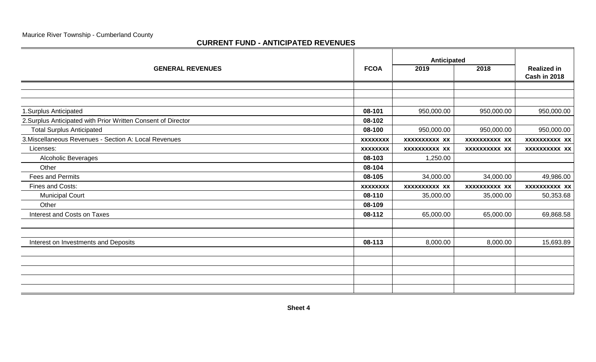### **CURRENT FUND - ANTICIPATED REVENUES**

|                                                               |                 | Anticipated   |               |                                           |  |
|---------------------------------------------------------------|-----------------|---------------|---------------|-------------------------------------------|--|
| <b>GENERAL REVENUES</b>                                       | <b>FCOA</b>     | 2019          | 2018          | <b>Realized in</b><br><b>Cash in 2018</b> |  |
|                                                               |                 |               |               |                                           |  |
|                                                               |                 |               |               |                                           |  |
|                                                               | 08-101          |               | 950,000.00    | 950,000.00                                |  |
| 1.Surplus Anticipated                                         |                 | 950,000.00    |               |                                           |  |
| 2. Surplus Anticipated with Prior Written Consent of Director | 08-102          |               |               |                                           |  |
| <b>Total Surplus Anticipated</b>                              | 08-100          | 950,000.00    | 950,000.00    | 950,000.00                                |  |
| 3. Miscellaneous Revenues - Section A: Local Revenues         | <b>XXXXXXXX</b> | XXXXXXXXXX XX | XXXXXXXXXX XX | XXXXXXXXXX XX                             |  |
| Licenses:                                                     | <b>XXXXXXXX</b> | XXXXXXXXXX XX | XXXXXXXXXX XX | xxxxxxxxxx xx                             |  |
| Alcoholic Beverages                                           | 08-103          | 1,250.00      |               |                                           |  |
| Other                                                         | 08-104          |               |               |                                           |  |
| <b>Fees and Permits</b>                                       | 08-105          | 34,000.00     | 34,000.00     | 49,986.00                                 |  |
| Fines and Costs:                                              | <b>XXXXXXXX</b> | XXXXXXXXXX XX | XXXXXXXXXX XX | XXXXXXXXXX XX                             |  |
| <b>Municipal Court</b>                                        | 08-110          | 35,000.00     | 35,000.00     | 50,353.68                                 |  |
| Other                                                         | 08-109          |               |               |                                           |  |
| <b>Interest and Costs on Taxes</b>                            | 08-112          | 65,000.00     | 65,000.00     | 69,868.58                                 |  |
|                                                               |                 |               |               |                                           |  |
|                                                               |                 |               |               |                                           |  |
| Interest on Investments and Deposits                          | 08-113          | 8,000.00      | 8,000.00      | 15,693.89                                 |  |
|                                                               |                 |               |               |                                           |  |
|                                                               |                 |               |               |                                           |  |
|                                                               |                 |               |               |                                           |  |
|                                                               |                 |               |               |                                           |  |
|                                                               |                 |               |               |                                           |  |
|                                                               |                 |               |               |                                           |  |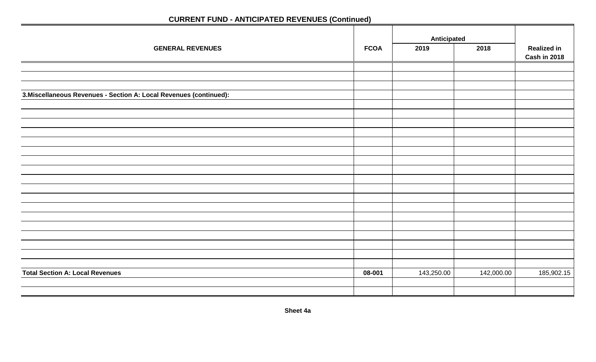# **Anticipated GENERAL REVENUES FCOA 2019 2018 Realized in Cash in 2018 3.Miscellaneous Revenues - Section A: Local Revenues (continued): Total Section A: Local Revenues** 185,902.15

# **CURRENT FUND - ANTICIPATED REVENUES (Continued)**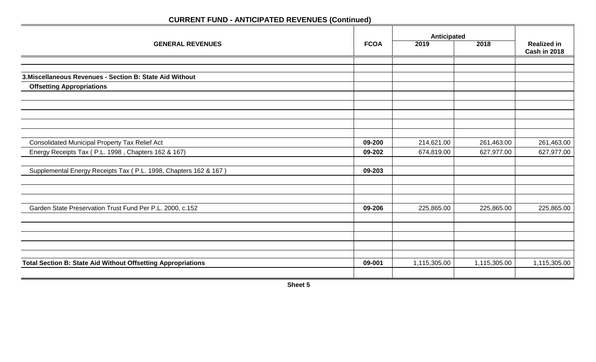|                                                                     |             | Anticipated  |              |                                    |
|---------------------------------------------------------------------|-------------|--------------|--------------|------------------------------------|
| <b>GENERAL REVENUES</b>                                             | <b>FCOA</b> | 2019         | 2018         | <b>Realized in</b><br>Cash in 2018 |
|                                                                     |             |              |              |                                    |
|                                                                     |             |              |              |                                    |
| 3. Miscellaneous Revenues - Section B: State Aid Without            |             |              |              |                                    |
| <b>Offsetting Appropriations</b>                                    |             |              |              |                                    |
|                                                                     |             |              |              |                                    |
|                                                                     |             |              |              |                                    |
|                                                                     |             |              |              |                                    |
|                                                                     |             |              |              |                                    |
|                                                                     |             |              |              |                                    |
| <b>Consolidated Municipal Property Tax Relief Act</b>               | 09-200      | 214,621.00   | 261,463.00   | 261,463.00                         |
| Energy Receipts Tax (P.L. 1998, Chapters 162 & 167)                 | 09-202      | 674,819.00   | 627,977.00   | 627,977.00                         |
|                                                                     |             |              |              |                                    |
| Supplemental Energy Receipts Tax (P.L. 1998, Chapters 162 & 167)    | 09-203      |              |              |                                    |
|                                                                     |             |              |              |                                    |
|                                                                     |             |              |              |                                    |
|                                                                     |             |              |              |                                    |
| Garden State Preservation Trust Fund Per P.L. 2000, c.152           | 09-206      | 225,865.00   | 225,865.00   | 225,865.00                         |
|                                                                     |             |              |              |                                    |
|                                                                     |             |              |              |                                    |
|                                                                     |             |              |              |                                    |
|                                                                     |             |              |              |                                    |
|                                                                     |             |              |              |                                    |
| <b>Total Section B: State Aid Without Offsetting Appropriations</b> | 09-001      | 1,115,305.00 | 1,115,305.00 | 1,115,305.00                       |
|                                                                     |             |              |              |                                    |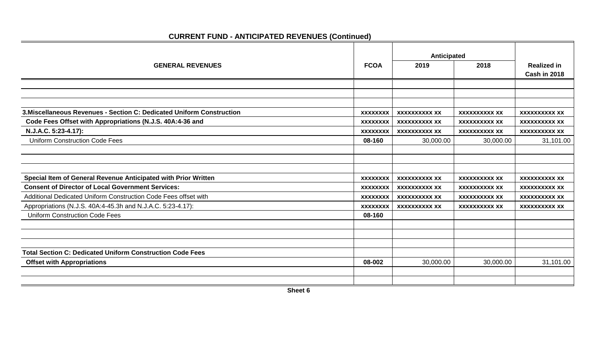|                                                                       |                 | Anticipated          |                      |                      |
|-----------------------------------------------------------------------|-----------------|----------------------|----------------------|----------------------|
|                                                                       |                 |                      |                      |                      |
| <b>GENERAL REVENUES</b>                                               | <b>FCOA</b>     | 2019                 | 2018                 | <b>Realized in</b>   |
|                                                                       |                 |                      |                      | Cash in 2018         |
|                                                                       |                 |                      |                      |                      |
|                                                                       |                 |                      |                      |                      |
| 3. Miscellaneous Revenues - Section C: Dedicated Uniform Construction |                 | <b>XXXXXXXXXX XX</b> | <b>XXXXXXXXXX XX</b> | <b>XXXXXXXXXX XX</b> |
|                                                                       | <b>XXXXXXXX</b> |                      |                      |                      |
| Code Fees Offset with Appropriations (N.J.S. 40A:4-36 and             | <b>XXXXXXXX</b> | <b>XXXXXXXXXX XX</b> | <b>XXXXXXXXXX XX</b> | <b>XXXXXXXXXX XX</b> |
| N.J.A.C. 5:23-4.17):                                                  | <b>XXXXXXXX</b> | <b>XXXXXXXXXX XX</b> | <b>XXXXXXXXXX XX</b> | <b>XXXXXXXXXX XX</b> |
| <b>Uniform Construction Code Fees</b>                                 | 08-160          | 30,000.00            | 30,000.00            | 31,101.00            |
|                                                                       |                 |                      |                      |                      |
|                                                                       |                 |                      |                      |                      |
|                                                                       |                 |                      |                      |                      |
| Special Item of General Revenue Anticipated with Prior Written        | <b>XXXXXXXX</b> | <b>XXXXXXXXXX XX</b> | <b>XXXXXXXXXX XX</b> | <b>XXXXXXXXXX XX</b> |
| <b>Consent of Director of Local Government Services:</b>              | <b>XXXXXXXX</b> | <b>XXXXXXXXXX XX</b> | <b>XXXXXXXXXX XX</b> | <b>XXXXXXXXXX XX</b> |
| Additional Dedicated Uniform Construction Code Fees offset with       | <b>XXXXXXXX</b> | <b>XXXXXXXXXX XX</b> | <b>XXXXXXXXXX XX</b> | <b>XXXXXXXXXX XX</b> |
| Appropriations (N.J.S. 40A:4-45.3h and N.J.A.C. 5:23-4.17):           | <b>XXXXXXXX</b> | <b>XXXXXXXXXX XX</b> | <b>XXXXXXXXXX XX</b> | <b>XXXXXXXXXX XX</b> |
| <b>Uniform Construction Code Fees</b>                                 | 08-160          |                      |                      |                      |
|                                                                       |                 |                      |                      |                      |
|                                                                       |                 |                      |                      |                      |
|                                                                       |                 |                      |                      |                      |
| <b>Total Section C: Dedicated Uniform Construction Code Fees</b>      |                 |                      |                      |                      |
| <b>Offset with Appropriations</b>                                     | 08-002          | 30,000.00            | 30,000.00            | 31,101.00            |
|                                                                       |                 |                      |                      |                      |
|                                                                       |                 |                      |                      |                      |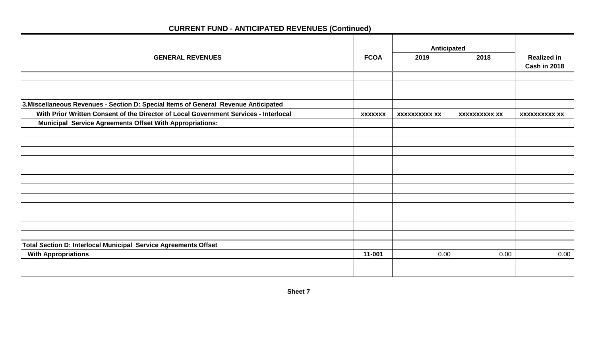|                                                                                      |                | Anticipated          |                      |                                           |
|--------------------------------------------------------------------------------------|----------------|----------------------|----------------------|-------------------------------------------|
| <b>GENERAL REVENUES</b>                                                              | <b>FCOA</b>    | 2019                 | 2018                 | <b>Realized in</b><br><b>Cash in 2018</b> |
|                                                                                      |                |                      |                      |                                           |
|                                                                                      |                |                      |                      |                                           |
|                                                                                      |                |                      |                      |                                           |
| 3. Miscellaneous Revenues - Section D: Special Items of General Revenue Anticipated  |                |                      |                      |                                           |
| With Prior Written Consent of the Director of Local Government Services - Interlocal | <b>XXXXXXX</b> | <b>XXXXXXXXXX XX</b> | <b>XXXXXXXXXX XX</b> | <b>XXXXXXXXXX XX</b>                      |
| <b>Municipal Service Agreements Offset With Appropriations:</b>                      |                |                      |                      |                                           |
|                                                                                      |                |                      |                      |                                           |
|                                                                                      |                |                      |                      |                                           |
|                                                                                      |                |                      |                      |                                           |
|                                                                                      |                |                      |                      |                                           |
|                                                                                      |                |                      |                      |                                           |
|                                                                                      |                |                      |                      |                                           |
|                                                                                      |                |                      |                      |                                           |
|                                                                                      |                |                      |                      |                                           |
|                                                                                      |                |                      |                      |                                           |
|                                                                                      |                |                      |                      |                                           |
|                                                                                      |                |                      |                      |                                           |
|                                                                                      |                |                      |                      |                                           |
| Total Section D: Interlocal Municipal Service Agreements Offset                      |                |                      |                      |                                           |
| <b>With Appropriations</b>                                                           | 11-001         | 0.00                 | 0.00                 | 0.00                                      |
|                                                                                      |                |                      |                      |                                           |
|                                                                                      |                |                      |                      |                                           |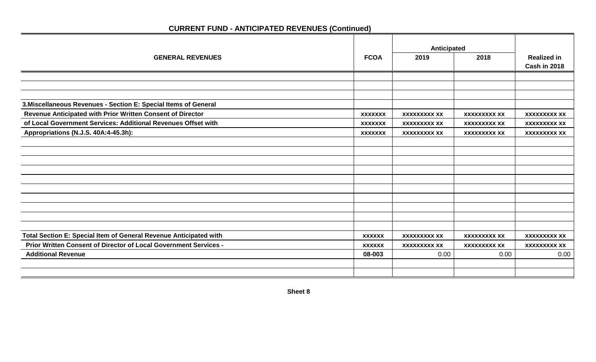|                                                                   |                | Anticipated         |                     |                     |
|-------------------------------------------------------------------|----------------|---------------------|---------------------|---------------------|
| <b>GENERAL REVENUES</b>                                           | <b>FCOA</b>    | 2019                | 2018                | <b>Realized in</b>  |
|                                                                   |                |                     |                     | Cash in 2018        |
|                                                                   |                |                     |                     |                     |
|                                                                   |                |                     |                     |                     |
|                                                                   |                |                     |                     |                     |
| 3. Miscellaneous Revenues - Section E: Special Items of General   |                |                     |                     |                     |
| Revenue Anticipated with Prior Written Consent of Director        | <b>XXXXXXX</b> | <b>XXXXXXXXX XX</b> | <b>XXXXXXXXX XX</b> | <b>XXXXXXXXX XX</b> |
| of Local Government Services: Additional Revenues Offset with     | <b>XXXXXXX</b> | <b>XXXXXXXXX XX</b> | <b>XXXXXXXXX XX</b> | <b>XXXXXXXXX XX</b> |
| Appropriations (N.J.S. 40A:4-45.3h):                              | <b>XXXXXXX</b> | <b>XXXXXXXXX XX</b> | <b>XXXXXXXXX XX</b> | <b>XXXXXXXXX XX</b> |
|                                                                   |                |                     |                     |                     |
|                                                                   |                |                     |                     |                     |
|                                                                   |                |                     |                     |                     |
|                                                                   |                |                     |                     |                     |
|                                                                   |                |                     |                     |                     |
|                                                                   |                |                     |                     |                     |
|                                                                   |                |                     |                     |                     |
|                                                                   |                |                     |                     |                     |
|                                                                   |                |                     |                     |                     |
|                                                                   |                |                     |                     |                     |
| Total Section E: Special Item of General Revenue Anticipated with | <b>XXXXXX</b>  | <b>XXXXXXXXX XX</b> | <b>XXXXXXXXX XX</b> | <b>XXXXXXXXX XX</b> |
| Prior Written Consent of Director of Local Government Services -  | <b>XXXXXX</b>  | <b>XXXXXXXXX XX</b> | <b>XXXXXXXXX XX</b> | <b>XXXXXXXXX XX</b> |
| <b>Additional Revenue</b>                                         | 08-003         | 0.00                | 0.00                | 0.00                |
|                                                                   |                |                     |                     |                     |
|                                                                   |                |                     |                     |                     |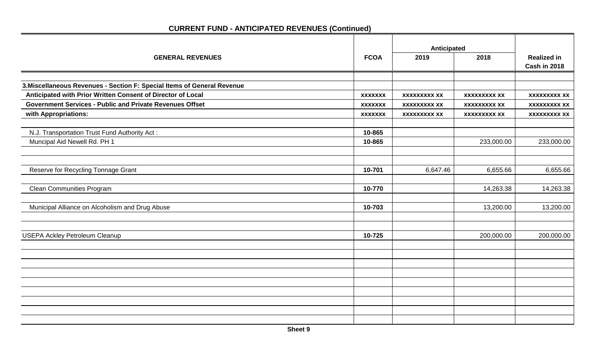|                                                                         |                | Anticipated         |                     |                     |
|-------------------------------------------------------------------------|----------------|---------------------|---------------------|---------------------|
| <b>GENERAL REVENUES</b>                                                 | <b>FCOA</b>    | 2019                | 2018                | <b>Realized in</b>  |
|                                                                         |                |                     |                     | Cash in 2018        |
|                                                                         |                |                     |                     |                     |
| 3. Miscellaneous Revenues - Section F: Special Items of General Revenue |                |                     |                     |                     |
| Anticipated with Prior Written Consent of Director of Local             | <b>XXXXXXX</b> | <b>XXXXXXXXX XX</b> | <b>XXXXXXXXX XX</b> | <b>XXXXXXXXX XX</b> |
| <b>Government Services - Public and Private Revenues Offset</b>         | <b>XXXXXXX</b> | <b>XXXXXXXXX XX</b> | <b>XXXXXXXXX XX</b> | <b>XXXXXXXXX XX</b> |
| with Appropriations:                                                    | <b>XXXXXXX</b> | <b>XXXXXXXXX XX</b> | <b>XXXXXXXXX XX</b> | <b>XXXXXXXXX XX</b> |
|                                                                         |                |                     |                     |                     |
| N.J. Transportation Trust Fund Authority Act:                           | 10-865         |                     |                     |                     |
| Muncipal Aid Newell Rd. PH 1                                            | 10-865         |                     | 233,000.00          | 233,000.00          |
|                                                                         |                |                     |                     |                     |
|                                                                         |                |                     |                     |                     |
| Reserve for Recycling Tonnage Grant                                     | 10-701         | 6,647.46            | 6,655.66            | 6,655.66            |
|                                                                         |                |                     |                     |                     |
| <b>Clean Communities Program</b>                                        | 10-770         |                     | 14,263.38           | 14,263.38           |
|                                                                         |                |                     |                     |                     |
| Municipal Alliance on Alcoholism and Drug Abuse                         | 10-703         |                     | 13,200.00           | 13,200.00           |
|                                                                         |                |                     |                     |                     |
|                                                                         |                |                     |                     |                     |
| <b>USEPA Ackley Petroleum Cleanup</b>                                   | 10-725         |                     | 200,000.00          | 200,000.00          |
|                                                                         |                |                     |                     |                     |
|                                                                         |                |                     |                     |                     |
|                                                                         |                |                     |                     |                     |
|                                                                         |                |                     |                     |                     |
|                                                                         |                |                     |                     |                     |
|                                                                         |                |                     |                     |                     |
|                                                                         |                |                     |                     |                     |
|                                                                         |                |                     |                     |                     |
|                                                                         |                |                     |                     |                     |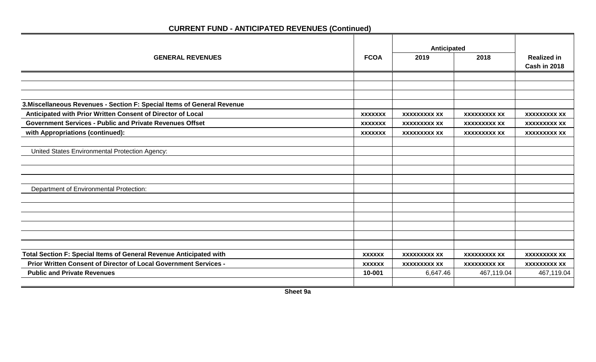|                                                                         |                | Anticipated         |                     |                     |
|-------------------------------------------------------------------------|----------------|---------------------|---------------------|---------------------|
| <b>GENERAL REVENUES</b>                                                 | <b>FCOA</b>    | 2019                | 2018                | <b>Realized in</b>  |
|                                                                         |                |                     |                     | Cash in 2018        |
|                                                                         |                |                     |                     |                     |
|                                                                         |                |                     |                     |                     |
|                                                                         |                |                     |                     |                     |
| 3. Miscellaneous Revenues - Section F: Special Items of General Revenue |                |                     |                     |                     |
| Anticipated with Prior Written Consent of Director of Local             | <b>XXXXXXX</b> | <b>XXXXXXXXX XX</b> | <b>XXXXXXXXX XX</b> | <b>XXXXXXXXX XX</b> |
| <b>Government Services - Public and Private Revenues Offset</b>         | <b>XXXXXXX</b> | <b>XXXXXXXXX XX</b> | <b>XXXXXXXXX XX</b> | <b>XXXXXXXXX XX</b> |
| with Appropriations (continued):                                        | <b>XXXXXXX</b> | <b>XXXXXXXXX XX</b> | <b>XXXXXXXXX XX</b> | <b>XXXXXXXXX XX</b> |
|                                                                         |                |                     |                     |                     |
| United States Environmental Protection Agency:                          |                |                     |                     |                     |
|                                                                         |                |                     |                     |                     |
|                                                                         |                |                     |                     |                     |
|                                                                         |                |                     |                     |                     |
| Department of Environmental Protection:                                 |                |                     |                     |                     |
|                                                                         |                |                     |                     |                     |
|                                                                         |                |                     |                     |                     |
|                                                                         |                |                     |                     |                     |
|                                                                         |                |                     |                     |                     |
|                                                                         |                |                     |                     |                     |
|                                                                         |                |                     |                     |                     |
| Total Section F: Special Items of General Revenue Anticipated with      | <b>XXXXXX</b>  | <b>XXXXXXXXX XX</b> | <b>XXXXXXXXX XX</b> | <b>XXXXXXXXX XX</b> |
| Prior Written Consent of Director of Local Government Services -        | <b>XXXXXX</b>  | <b>XXXXXXXXX XX</b> | <b>XXXXXXXXX XX</b> | <b>XXXXXXXXX XX</b> |
| <b>Public and Private Revenues</b>                                      | 10-001         | 6,647.46            | 467,119.04          | 467,119.04          |
|                                                                         |                |                     |                     |                     |

**Sheet 9a**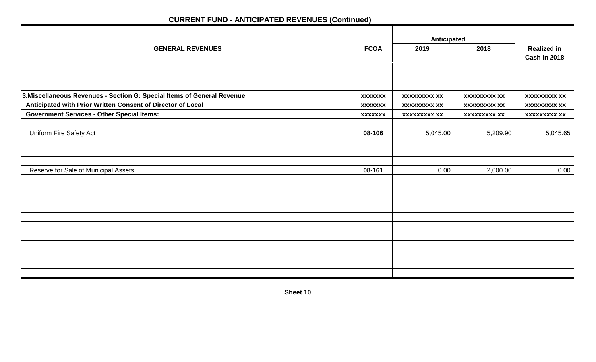|                                                                         |                | Anticipated         |                     |                                           |
|-------------------------------------------------------------------------|----------------|---------------------|---------------------|-------------------------------------------|
| <b>GENERAL REVENUES</b>                                                 | <b>FCOA</b>    | 2019                | 2018                | <b>Realized in</b><br><b>Cash in 2018</b> |
|                                                                         |                |                     |                     |                                           |
|                                                                         |                |                     |                     |                                           |
|                                                                         |                |                     |                     |                                           |
| 3. Miscellaneous Revenues - Section G: Special Items of General Revenue | <b>XXXXXXX</b> | <b>XXXXXXXXX XX</b> | <b>XXXXXXXXX XX</b> | <b>XXXXXXXXX XX</b>                       |
| Anticipated with Prior Written Consent of Director of Local             | <b>XXXXXXX</b> | <b>XXXXXXXXX XX</b> | <b>XXXXXXXXX XX</b> | <b>XXXXXXXXX XX</b>                       |
| <b>Government Services - Other Special Items:</b>                       | <b>XXXXXXX</b> | <b>XXXXXXXXX XX</b> | <b>XXXXXXXXX XX</b> | <b>XXXXXXXXX XX</b>                       |
|                                                                         |                |                     |                     |                                           |
| Uniform Fire Safety Act                                                 | 08-106         | 5,045.00            | 5,209.90            | 5,045.65                                  |
|                                                                         |                |                     |                     |                                           |
|                                                                         |                |                     |                     |                                           |
|                                                                         |                |                     |                     |                                           |
| Reserve for Sale of Municipal Assets                                    | 08-161         | 0.00                | 2,000.00            | 0.00                                      |
|                                                                         |                |                     |                     |                                           |
|                                                                         |                |                     |                     |                                           |
|                                                                         |                |                     |                     |                                           |
|                                                                         |                |                     |                     |                                           |
|                                                                         |                |                     |                     |                                           |
|                                                                         |                |                     |                     |                                           |
|                                                                         |                |                     |                     |                                           |
|                                                                         |                |                     |                     |                                           |
|                                                                         |                |                     |                     |                                           |
|                                                                         |                |                     |                     |                                           |
|                                                                         |                |                     |                     |                                           |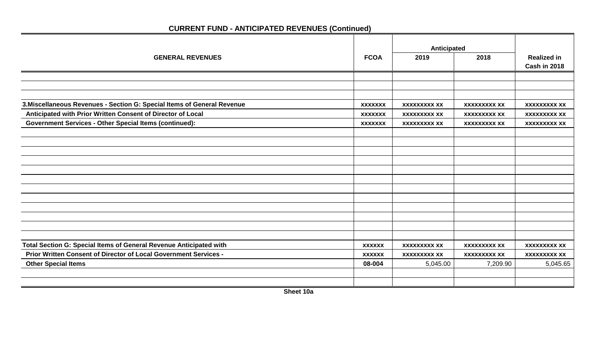|                                                                         |                | Anticipated         |                     |                                    |
|-------------------------------------------------------------------------|----------------|---------------------|---------------------|------------------------------------|
| <b>GENERAL REVENUES</b>                                                 | <b>FCOA</b>    | 2019                | 2018                | <b>Realized in</b><br>Cash in 2018 |
|                                                                         |                |                     |                     |                                    |
|                                                                         |                |                     |                     |                                    |
|                                                                         |                |                     |                     |                                    |
| 3. Miscellaneous Revenues - Section G: Special Items of General Revenue | <b>XXXXXXX</b> | <b>XXXXXXXXX XX</b> | <b>XXXXXXXXX XX</b> | <b>XXXXXXXXX XX</b>                |
| Anticipated with Prior Written Consent of Director of Local             | <b>XXXXXXX</b> | <b>XXXXXXXXX XX</b> | <b>XXXXXXXXX XX</b> | <b>XXXXXXXXX XX</b>                |
| <b>Government Services - Other Special Items (continued):</b>           | <b>XXXXXXX</b> | <b>XXXXXXXXX XX</b> | <b>XXXXXXXXX XX</b> | <b>XXXXXXXXX XX</b>                |
|                                                                         |                |                     |                     |                                    |
|                                                                         |                |                     |                     |                                    |
|                                                                         |                |                     |                     |                                    |
|                                                                         |                |                     |                     |                                    |
|                                                                         |                |                     |                     |                                    |
|                                                                         |                |                     |                     |                                    |
|                                                                         |                |                     |                     |                                    |
|                                                                         |                |                     |                     |                                    |
|                                                                         |                |                     |                     |                                    |
|                                                                         |                |                     |                     |                                    |
|                                                                         |                |                     |                     |                                    |
|                                                                         |                |                     |                     |                                    |
| Total Section G: Special Items of General Revenue Anticipated with      | <b>XXXXXX</b>  | <b>XXXXXXXXX XX</b> | <b>XXXXXXXXX XX</b> | <b>XXXXXXXXX XX</b>                |
| Prior Written Consent of Director of Local Government Services -        | <b>XXXXXX</b>  | <b>XXXXXXXXX XX</b> | <b>XXXXXXXXX XX</b> | <b>XXXXXXXXX XX</b>                |
| <b>Other Special Items</b>                                              | 08-004         | 5,045.00            | 7,209.90            | 5,045.65                           |
|                                                                         |                |                     |                     |                                    |
|                                                                         |                |                     |                     |                                    |
|                                                                         |                |                     |                     |                                    |

 **Sheet 10a**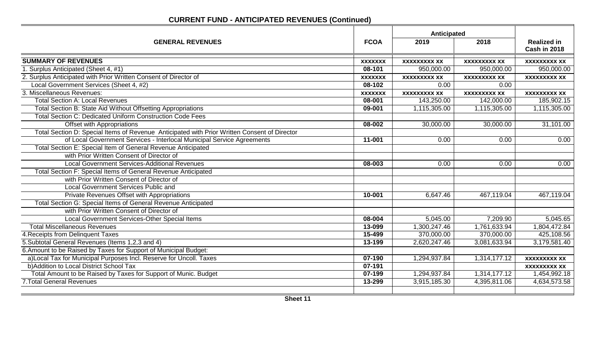|                                                                                              |                | Anticipated         |                     |                                           |
|----------------------------------------------------------------------------------------------|----------------|---------------------|---------------------|-------------------------------------------|
| <b>GENERAL REVENUES</b>                                                                      | <b>FCOA</b>    | 2019                | 2018                | <b>Realized in</b><br><b>Cash in 2018</b> |
| <b>SUMMARY OF REVENUES</b>                                                                   | <b>XXXXXXX</b> | <b>XXXXXXXXX XX</b> | <b>XXXXXXXXX XX</b> | <b>XXXXXXXXX XX</b>                       |
| 1. Surplus Anticipated (Sheet 4, #1)                                                         | 08-101         | 950,000.00          | 950,000.00          | 950,000.00                                |
| 2. Surplus Anticipated with Prior Written Consent of Director of                             | <b>XXXXXXX</b> | <b>XXXXXXXXX XX</b> | <b>XXXXXXXXX XX</b> | <b>XXXXXXXXX XX</b>                       |
| Local Government Services (Sheet 4, #2)                                                      | 08-102         | 0.00                | 0.00                |                                           |
| 3. Miscellaneous Revenues:                                                                   | <b>XXXXXXX</b> | <b>XXXXXXXXX XX</b> | <b>XXXXXXXXX XX</b> | <b>XXXXXXXXX XX</b>                       |
| <b>Total Section A: Local Revenues</b>                                                       | 08-001         | 143,250.00          | 142,000.00          | 185,902.15                                |
| Total Section B: State Aid Without Offsetting Appropriations                                 | 09-001         | 1,115,305.00        | 1,115,305.00        | 1,115,305.00                              |
| <b>Total Section C: Dedicated Uniform Construction Code Fees</b>                             |                |                     |                     |                                           |
| Offset with Appropriations                                                                   | 08-002         | 30,000.00           | 30,000.00           | 31,101.00                                 |
| Total Section D: Special Items of Revenue Anticipated with Prior Written Consent of Director |                |                     |                     |                                           |
| of Local Government Services - Interlocal Municipal Service Agreements                       | $11 - 001$     | 0.00                | 0.00                | 0.00                                      |
| Total Section E: Special Item of General Revenue Anticipated                                 |                |                     |                     |                                           |
| with Prior Written Consent of Director of                                                    |                |                     |                     |                                           |
| <b>Local Government Services-Additional Revenues</b>                                         | 08-003         | 0.00                | 0.00                | 0.00                                      |
| Total Section F: Special Items of General Revenue Anticipated                                |                |                     |                     |                                           |
| with Prior Written Consent of Director of                                                    |                |                     |                     |                                           |
| <b>Local Government Services Public and</b>                                                  |                |                     |                     |                                           |
| Private Revenues Offset with Appropriations                                                  | 10-001         | 6,647.46            | 467,119.04          | 467,119.04                                |
| Total Section G: Special Items of General Revenue Anticipated                                |                |                     |                     |                                           |
| with Prior Written Consent of Director of                                                    |                |                     |                     |                                           |
| Local Government Services-Other Special Items                                                | 08-004         | 5,045.00            | 7,209.90            | 5,045.65                                  |
| <b>Total Miscellaneous Revenues</b>                                                          | 13-099         | 1,300,247.46        | 1,761,633.94        | 1,804,472.84                              |
| 4. Receipts from Delinquent Taxes                                                            | 15-499         | 370,000.00          | 370,000.00          | 425,108.56                                |
| 5. Subtotal General Revenues (Items 1,2,3 and 4)                                             | 13-199         | 2,620,247.46        | 3,081,633.94        | 3,179,581.40                              |
| 6. Amount to be Raised by Taxes for Support of Municipal Budget:                             |                |                     |                     |                                           |
| a)Local Tax for Municipal Purposes Incl. Reserve for Uncoll. Taxes                           | $07-190$       | 1,294,937.84        | 1,314,177.12        | <b>XXXXXXXXX XX</b>                       |
| b) Addition to Local District School Tax                                                     | 07-191         |                     |                     | <b>XXXXXXXXX XX</b>                       |
| Total Amount to be Raised by Taxes for Support of Munic. Budget                              | 07-199         | 1,294,937.84        | 1,314,177.12        | 1,454,992.18                              |
| <b>7. Total General Revenues</b>                                                             | 13-299         | 3,915,185.30        | 4,395,811.06        | 4,634,573.58                              |
|                                                                                              |                |                     |                     |                                           |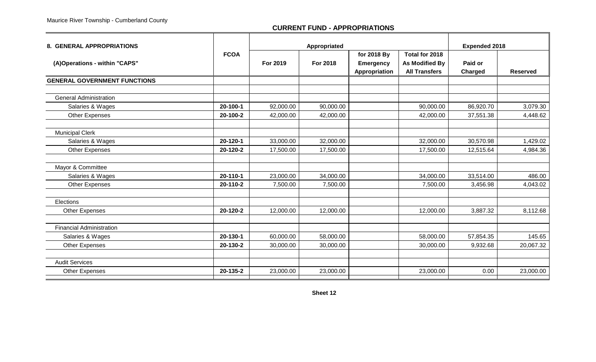#### **CURRENT FUND - APPROPRIATIONS**

| <b>8. GENERAL APPROPRIATIONS</b>    |             | Appropriated |           |                                                  |                                                                 | <b>Expended 2018</b> |                 |
|-------------------------------------|-------------|--------------|-----------|--------------------------------------------------|-----------------------------------------------------------------|----------------------|-----------------|
| (A)Operations - within "CAPS"       | <b>FCOA</b> | For 2019     | For 2018  | for 2018 By<br><b>Emergency</b><br>Appropriation | Total for 2018<br><b>As Modified By</b><br><b>All Transfers</b> | Paid or<br>Charged   | <b>Reserved</b> |
| <b>GENERAL GOVERNMENT FUNCTIONS</b> |             |              |           |                                                  |                                                                 |                      |                 |
|                                     |             |              |           |                                                  |                                                                 |                      |                 |
| <b>General Administration</b>       |             |              |           |                                                  |                                                                 |                      |                 |
| Salaries & Wages                    | 20-100-1    | 92,000.00    | 90,000.00 |                                                  | 90,000.00                                                       | 86,920.70            | 3,079.30        |
| <b>Other Expenses</b>               | 20-100-2    | 42,000.00    | 42,000.00 |                                                  | 42,000.00                                                       | 37,551.38            | 4,448.62        |
| <b>Municipal Clerk</b>              |             |              |           |                                                  |                                                                 |                      |                 |
| Salaries & Wages                    | 20-120-1    | 33,000.00    | 32,000.00 |                                                  | 32,000.00                                                       | 30,570.98            | 1,429.02        |
| <b>Other Expenses</b>               | 20-120-2    | 17,500.00    | 17,500.00 |                                                  | 17,500.00                                                       | 12,515.64            | 4,984.36        |
| Mayor & Committee                   |             |              |           |                                                  |                                                                 |                      |                 |
| Salaries & Wages                    | 20-110-1    | 23,000.00    | 34,000.00 |                                                  | 34,000.00                                                       | 33,514.00            | 486.00          |
| Other Expenses                      | 20-110-2    | 7,500.00     | 7,500.00  |                                                  | 7,500.00                                                        | 3,456.98             | 4,043.02        |
| Elections                           |             |              |           |                                                  |                                                                 |                      |                 |
| <b>Other Expenses</b>               | 20-120-2    | 12,000.00    | 12,000.00 |                                                  | 12,000.00                                                       | 3,887.32             | 8,112.68        |
| <b>Financial Administration</b>     |             |              |           |                                                  |                                                                 |                      |                 |
| Salaries & Wages                    | 20-130-1    | 60,000.00    | 58,000.00 |                                                  | 58,000.00                                                       | 57,854.35            | 145.65          |
| <b>Other Expenses</b>               | 20-130-2    | 30,000.00    | 30,000.00 |                                                  | 30,000.00                                                       | 9,932.68             | 20,067.32       |
|                                     |             |              |           |                                                  |                                                                 |                      |                 |
| <b>Audit Services</b>               |             |              |           |                                                  |                                                                 |                      |                 |
| <b>Other Expenses</b>               | 20-135-2    | 23,000.00    | 23,000.00 |                                                  | 23,000.00                                                       | 0.00                 | 23,000.00       |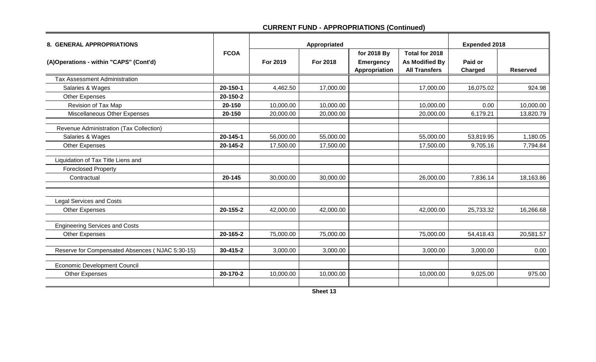| 8. GENERAL APPROPRIATIONS                       |             |           | Appropriated | <b>Expended 2018</b> |                       |           |                 |
|-------------------------------------------------|-------------|-----------|--------------|----------------------|-----------------------|-----------|-----------------|
|                                                 | <b>FCOA</b> |           |              | for 2018 By          | Total for 2018        |           |                 |
| (A)Operations - within "CAPS" (Cont'd)          |             | For 2019  | For 2018     | <b>Emergency</b>     | <b>As Modified By</b> | Paid or   |                 |
|                                                 |             |           |              | Appropriation        | <b>All Transfers</b>  | Charged   | <b>Reserved</b> |
| Tax Assessment Administration                   |             |           |              |                      |                       |           |                 |
| Salaries & Wages                                | 20-150-1    | 4,462.50  | 17,000.00    |                      | 17,000.00             | 16,075.02 | 924.98          |
| Other Expenses                                  | 20-150-2    |           |              |                      |                       |           |                 |
| Revision of Tax Map                             | 20-150      | 10,000.00 | 10,000.00    |                      | 10,000.00             | 0.00      | 10,000.00       |
| Miscellaneous Other Expenses                    | 20-150      | 20,000.00 | 20,000.00    |                      | 20,000.00             | 6,179.21  | 13,820.79       |
| Revenue Administration (Tax Collection)         |             |           |              |                      |                       |           |                 |
| Salaries & Wages                                | 20-145-1    | 56,000.00 | 55,000.00    |                      | 55,000.00             | 53,819.95 | 1,180.05        |
| <b>Other Expenses</b>                           | 20-145-2    | 17,500.00 | 17,500.00    |                      | 17,500.00             | 9,705.16  | 7,794.84        |
| Liquidation of Tax Title Liens and              |             |           |              |                      |                       |           |                 |
| <b>Foreclosed Property</b>                      |             |           |              |                      |                       |           |                 |
| Contractual                                     | 20-145      | 30,000.00 | 30,000.00    |                      | 26,000.00             | 7,836.14  | 18,163.86       |
| <b>Legal Services and Costs</b>                 |             |           |              |                      |                       |           |                 |
| Other Expenses                                  | 20-155-2    | 42,000.00 | 42,000.00    |                      | 42,000.00             | 25,733.32 | 16,266.68       |
| <b>Engineering Services and Costs</b>           |             |           |              |                      |                       |           |                 |
| Other Expenses                                  | 20-165-2    | 75,000.00 | 75,000.00    |                      | 75,000.00             | 54,418.43 | 20,581.57       |
| Reserve for Compensated Absences (NJAC 5:30-15) | 30-415-2    | 3,000.00  | 3,000.00     |                      | 3,000.00              | 3,000.00  | 0.00            |
| <b>Economic Development Council</b>             |             |           |              |                      |                       |           |                 |
| Other Expenses                                  | 20-170-2    | 10,000.00 | 10,000.00    |                      | 10,000.00             | 9,025.00  | 975.00          |
|                                                 |             |           |              |                      |                       |           |                 |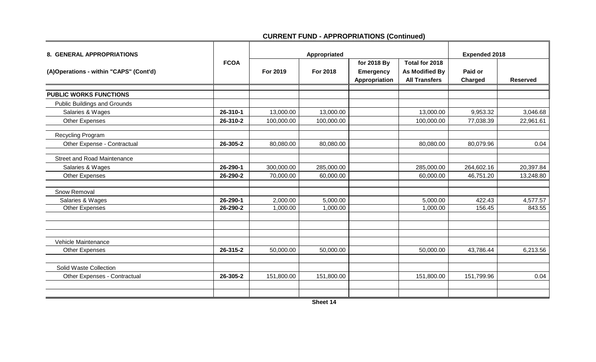| 8. GENERAL APPROPRIATIONS              |             | Appropriated |            |                                                  |                                                                 | <b>Expended 2018</b> |                 |
|----------------------------------------|-------------|--------------|------------|--------------------------------------------------|-----------------------------------------------------------------|----------------------|-----------------|
| (A)Operations - within "CAPS" (Cont'd) | <b>FCOA</b> | For 2019     | For 2018   | for 2018 By<br><b>Emergency</b><br>Appropriation | Total for 2018<br><b>As Modified By</b><br><b>All Transfers</b> | Paid or<br>Charged   | <b>Reserved</b> |
| <b>PUBLIC WORKS FUNCTIONS</b>          |             |              |            |                                                  |                                                                 |                      |                 |
| <b>Public Buildings and Grounds</b>    |             |              |            |                                                  |                                                                 |                      |                 |
| Salaries & Wages                       | 26-310-1    | 13,000.00    | 13,000.00  |                                                  | 13,000.00                                                       | 9,953.32             | 3,046.68        |
| <b>Other Expenses</b>                  | 26-310-2    | 100,000.00   | 100,000.00 |                                                  | 100,000.00                                                      | 77,038.39            | 22,961.61       |
| Recycling Program                      |             |              |            |                                                  |                                                                 |                      |                 |
| Other Expense - Contractual            | 26-305-2    | 80,080.00    | 80,080.00  |                                                  | 80,080.00                                                       | 80,079.96            | 0.04            |
| <b>Street and Road Maintenance</b>     |             |              |            |                                                  |                                                                 |                      |                 |
| Salaries & Wages                       | 26-290-1    | 300,000.00   | 285,000.00 |                                                  | 285,000.00                                                      | 264,602.16           | 20,397.84       |
| <b>Other Expenses</b>                  | 26-290-2    | 70,000.00    | 60,000.00  |                                                  | 60,000.00                                                       | 46,751.20            | 13,248.80       |
| Snow Removal                           |             |              |            |                                                  |                                                                 |                      |                 |
| Salaries & Wages                       | 26-290-1    | 2,000.00     | 5,000.00   |                                                  | 5,000.00                                                        | 422.43               | 4,577.57        |
| <b>Other Expenses</b>                  | 26-290-2    | 1,000.00     | 1,000.00   |                                                  | 1,000.00                                                        | 156.45               | 843.55          |
|                                        |             |              |            |                                                  |                                                                 |                      |                 |
| Vehicle Maintenance                    |             |              |            |                                                  |                                                                 |                      |                 |
| Other Expenses                         | 26-315-2    | 50,000.00    | 50,000.00  |                                                  | 50,000.00                                                       | 43,786.44            | 6,213.56        |
| Solid Waste Collection                 |             |              |            |                                                  |                                                                 |                      |                 |
| Other Expenses - Contractual           | 26-305-2    | 151,800.00   | 151,800.00 |                                                  | 151,800.00                                                      | 151,799.96           | 0.04            |
|                                        |             |              |            |                                                  |                                                                 |                      |                 |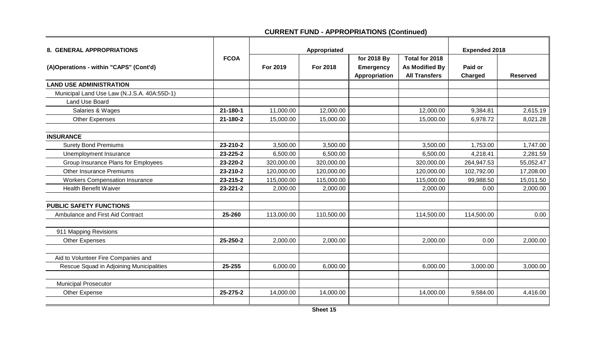| 8. GENERAL APPROPRIATIONS                   |                |            | Appropriated | <b>Expended 2018</b>                             |                                                                 |                    |                 |
|---------------------------------------------|----------------|------------|--------------|--------------------------------------------------|-----------------------------------------------------------------|--------------------|-----------------|
| (A)Operations - within "CAPS" (Cont'd)      | <b>FCOA</b>    | For 2019   | For 2018     | for 2018 By<br><b>Emergency</b><br>Appropriation | Total for 2018<br><b>As Modified By</b><br><b>All Transfers</b> | Paid or<br>Charged | <b>Reserved</b> |
| <b>LAND USE ADMINISTRATION</b>              |                |            |              |                                                  |                                                                 |                    |                 |
| Municipal Land Use Law (N.J.S.A. 40A:55D-1) |                |            |              |                                                  |                                                                 |                    |                 |
| <b>Land Use Board</b>                       |                |            |              |                                                  |                                                                 |                    |                 |
| Salaries & Wages                            | $21 - 180 - 1$ | 11,000.00  | 12,000.00    |                                                  | 12,000.00                                                       | 9,384.81           | 2,615.19        |
| <b>Other Expenses</b>                       | 21-180-2       | 15,000.00  | 15,000.00    |                                                  | 15,000.00                                                       | 6,978.72           | 8,021.28        |
| <b>INSURANCE</b>                            |                |            |              |                                                  |                                                                 |                    |                 |
| <b>Surety Bond Premiums</b>                 | 23-210-2       | 3,500.00   | 3,500.00     |                                                  | 3,500.00                                                        | 1,753.00           | 1,747.00        |
| Unemployment Insurance                      | 23-225-2       | 6,500.00   | 6,500.00     |                                                  | 6,500.00                                                        | 4,218.41           | 2,281.59        |
| Group Insurance Plans for Employees         | 23-220-2       | 320,000.00 | 320,000.00   |                                                  | 320,000.00                                                      | 264,947.53         | 55,052.47       |
| <b>Other Insurance Premiums</b>             | 23-210-2       | 120,000.00 | 120,000.00   |                                                  | 120,000.00                                                      | 102,792.00         | 17,208.00       |
| <b>Workers Compensation Insurance</b>       | 23-215-2       | 115,000.00 | 115,000.00   |                                                  | 115,000.00                                                      | 99,988.50          | 15,011.50       |
| <b>Health Benefit Waiver</b>                | 23-221-2       | 2,000.00   | 2,000.00     |                                                  | 2,000.00                                                        | 0.00               | 2,000.00        |
| <b>PUBLIC SAFETY FUNCTIONS</b>              |                |            |              |                                                  |                                                                 |                    |                 |
| Ambulance and First Aid Contract            | 25-260         | 113,000.00 | 110,500.00   |                                                  | 114,500.00                                                      | 114,500.00         | 0.00            |
| 911 Mapping Revisions                       |                |            |              |                                                  |                                                                 |                    |                 |
| <b>Other Expenses</b>                       | 25-250-2       | 2,000.00   | 2,000.00     |                                                  | 2,000.00                                                        | 0.00               | 2,000.00        |
| Aid to Volunteer Fire Companies and         |                |            |              |                                                  |                                                                 |                    |                 |
| Rescue Squad in Adjoining Municipalities    | 25-255         | 6,000.00   | 6,000.00     |                                                  | 6,000.00                                                        | 3,000.00           | 3,000.00        |
| <b>Municipal Prosecutor</b>                 |                |            |              |                                                  |                                                                 |                    |                 |
| Other Expense                               | 25-275-2       | 14,000.00  | 14,000.00    |                                                  | 14,000.00                                                       | 9,584.00           | 4,416.00        |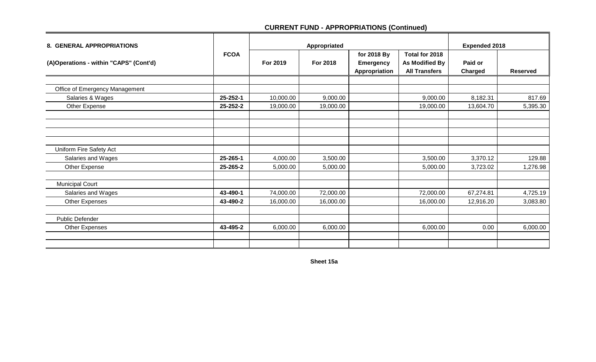| 8. GENERAL APPROPRIATIONS              |             |           | <b>Expended 2018</b> |                                                  |                                                          |                    |                 |
|----------------------------------------|-------------|-----------|----------------------|--------------------------------------------------|----------------------------------------------------------|--------------------|-----------------|
| (A)Operations - within "CAPS" (Cont'd) | <b>FCOA</b> | For 2019  | For 2018             | for 2018 By<br><b>Emergency</b><br>Appropriation | Total for 2018<br>As Modified By<br><b>All Transfers</b> | Paid or<br>Charged | <b>Reserved</b> |
|                                        |             |           |                      |                                                  |                                                          |                    |                 |
| Office of Emergency Management         |             |           |                      |                                                  |                                                          |                    |                 |
| Salaries & Wages                       | 25-252-1    | 10,000.00 | 9,000.00             |                                                  | 9,000.00                                                 | 8,182.31           | 817.69          |
| Other Expense                          | 25-252-2    | 19,000.00 | 19,000.00            |                                                  | 19,000.00                                                | 13,604.70          | 5,395.30        |
|                                        |             |           |                      |                                                  |                                                          |                    |                 |
| Uniform Fire Safety Act                |             |           |                      |                                                  |                                                          |                    |                 |
| Salaries and Wages                     | 25-265-1    | 4,000.00  | 3,500.00             |                                                  | 3,500.00                                                 | 3,370.12           | 129.88          |
| Other Expense                          | 25-265-2    | 5,000.00  | 5,000.00             |                                                  | 5,000.00                                                 | 3,723.02           | 1,276.98        |
| <b>Municipal Court</b>                 |             |           |                      |                                                  |                                                          |                    |                 |
| Salaries and Wages                     | 43-490-1    | 74,000.00 | 72,000.00            |                                                  | 72,000.00                                                | 67,274.81          | 4,725.19        |
| Other Expenses                         | 43-490-2    | 16,000.00 | 16,000.00            |                                                  | 16,000.00                                                | 12,916.20          | 3,083.80        |
| <b>Public Defender</b>                 |             |           |                      |                                                  |                                                          |                    |                 |
| Other Expenses                         | 43-495-2    | 6,000.00  | 6,000.00             |                                                  | 6,000.00                                                 | 0.00               | 6,000.00        |
|                                        |             |           |                      |                                                  |                                                          |                    |                 |

**Sheet 15a**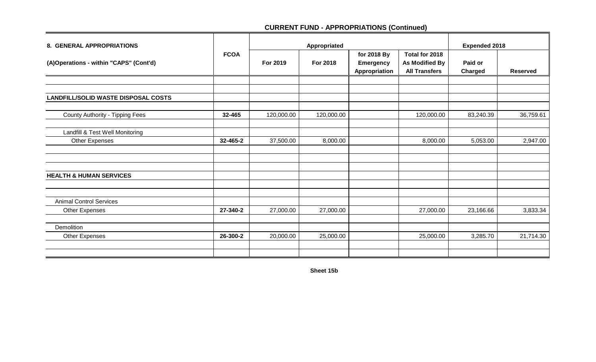| 8. GENERAL APPROPRIATIONS                               |             | Appropriated |                 |                                                  |                                                          | <b>Expended 2018</b> |                 |
|---------------------------------------------------------|-------------|--------------|-----------------|--------------------------------------------------|----------------------------------------------------------|----------------------|-----------------|
| (A)Operations - within "CAPS" (Cont'd)                  | <b>FCOA</b> | For 2019     | <b>For 2018</b> | for 2018 By<br><b>Emergency</b><br>Appropriation | Total for 2018<br>As Modified By<br><b>All Transfers</b> | Paid or<br>Charged   | <b>Reserved</b> |
|                                                         |             |              |                 |                                                  |                                                          |                      |                 |
| <b>LANDFILL/SOLID WASTE DISPOSAL COSTS</b>              |             |              |                 |                                                  |                                                          |                      |                 |
| County Authority - Tipping Fees                         | 32-465      | 120,000.00   | 120,000.00      |                                                  | 120,000.00                                               | 83,240.39            | 36,759.61       |
| Landfill & Test Well Monitoring                         |             |              |                 |                                                  |                                                          |                      |                 |
| Other Expenses                                          | 32-465-2    | 37,500.00    | 8,000.00        |                                                  | 8,000.00                                                 | 5,053.00             | 2,947.00        |
|                                                         |             |              |                 |                                                  |                                                          |                      |                 |
| <b>HEALTH &amp; HUMAN SERVICES</b>                      |             |              |                 |                                                  |                                                          |                      |                 |
|                                                         |             |              |                 |                                                  |                                                          |                      |                 |
| <b>Animal Control Services</b><br><b>Other Expenses</b> | 27-340-2    | 27,000.00    | 27,000.00       |                                                  | 27,000.00                                                | 23,166.66            | 3,833.34        |
| Demolition                                              |             |              |                 |                                                  |                                                          |                      |                 |
| <b>Other Expenses</b>                                   | 26-300-2    | 20,000.00    | 25,000.00       |                                                  | 25,000.00                                                | 3,285.70             | 21,714.30       |
|                                                         |             |              |                 |                                                  |                                                          |                      |                 |

**Sheet 15b**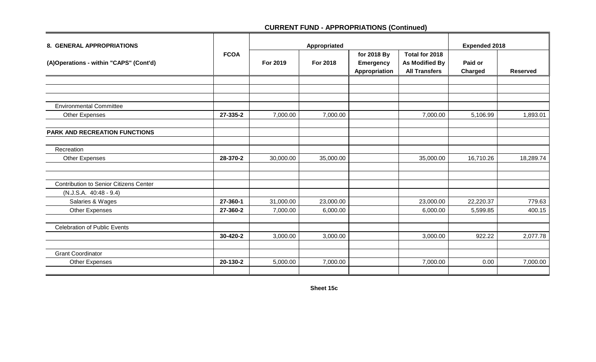|             | Appropriated |                 |                                                  |                                                                 | <b>Expended 2018</b> |                 |  |
|-------------|--------------|-----------------|--------------------------------------------------|-----------------------------------------------------------------|----------------------|-----------------|--|
| <b>FCOA</b> | For 2019     | <b>For 2018</b> | for 2018 By<br><b>Emergency</b><br>Appropriation | Total for 2018<br><b>As Modified By</b><br><b>All Transfers</b> | Paid or<br>Charged   | <b>Reserved</b> |  |
|             |              |                 |                                                  |                                                                 |                      |                 |  |
|             |              |                 |                                                  |                                                                 |                      |                 |  |
|             |              |                 |                                                  |                                                                 |                      |                 |  |
| 27-335-2    | 7,000.00     | 7,000.00        |                                                  | 7,000.00                                                        | 5,106.99             | 1,893.01        |  |
|             |              |                 |                                                  |                                                                 |                      |                 |  |
|             |              |                 |                                                  |                                                                 |                      |                 |  |
| 28-370-2    | 30,000.00    | 35,000.00       |                                                  | 35,000.00                                                       | 16,710.26            | 18,289.74       |  |
|             |              |                 |                                                  |                                                                 |                      |                 |  |
|             |              |                 |                                                  |                                                                 |                      |                 |  |
|             |              |                 |                                                  |                                                                 |                      |                 |  |
| 27-360-1    | 31,000.00    | 23,000.00       |                                                  | 23,000.00                                                       | 22,220.37            | 779.63          |  |
| 27-360-2    | 7,000.00     | 6,000.00        |                                                  | 6,000.00                                                        | 5,599.85             | 400.15          |  |
|             |              |                 |                                                  |                                                                 |                      |                 |  |
| 30-420-2    | 3,000.00     | 3,000.00        |                                                  | 3,000.00                                                        | 922.22               | 2,077.78        |  |
|             |              |                 |                                                  |                                                                 |                      |                 |  |
| 20-130-2    | 5,000.00     | 7,000.00        |                                                  | 7,000.00                                                        | 0.00                 | 7,000.00        |  |
|             |              |                 |                                                  |                                                                 |                      |                 |  |

**Sheet 15c**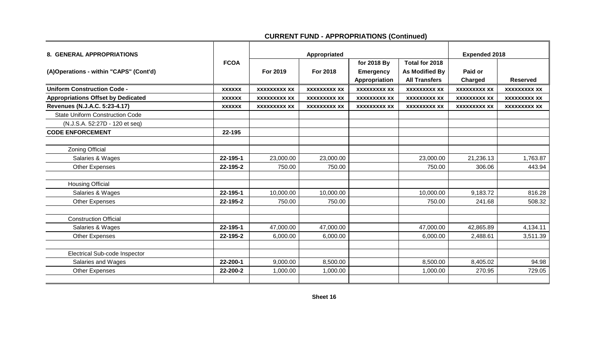| <b>8. GENERAL APPROPRIATIONS</b>          |               |                     | Appropriated        | <b>Expended 2018</b>            |                                         |                     |                     |
|-------------------------------------------|---------------|---------------------|---------------------|---------------------------------|-----------------------------------------|---------------------|---------------------|
| (A)Operations - within "CAPS" (Cont'd)    | <b>FCOA</b>   | For 2019            | <b>For 2018</b>     | for 2018 By<br><b>Emergency</b> | Total for 2018<br><b>As Modified By</b> | Paid or             |                     |
|                                           |               |                     |                     | Appropriation                   | <b>All Transfers</b>                    | <b>Charged</b>      | <b>Reserved</b>     |
| <b>Uniform Construction Code -</b>        | <b>XXXXXX</b> | <b>XXXXXXXXX XX</b> | <b>XXXXXXXXX XX</b> | <b>XXXXXXXXX XX</b>             | <b>XXXXXXXXX XX</b>                     | <b>XXXXXXXXX XX</b> | <b>XXXXXXXXX XX</b> |
| <b>Appropriations Offset by Dedicated</b> | <b>XXXXXX</b> | <b>XXXXXXXXX XX</b> | <b>XXXXXXXXX XX</b> | <b>XXXXXXXXX XX</b>             | <b>XXXXXXXXX XX</b>                     | <b>XXXXXXXXX XX</b> | <b>XXXXXXXXX XX</b> |
| Revenues (N.J.A.C. 5:23-4.17)             | <b>XXXXXX</b> | <b>XXXXXXXXX XX</b> | <b>XXXXXXXXX XX</b> | <b>XXXXXXXXX XX</b>             | <b>XXXXXXXXX XX</b>                     | <b>XXXXXXXXX XX</b> | <b>XXXXXXXXX XX</b> |
| <b>State Uniform Construction Code</b>    |               |                     |                     |                                 |                                         |                     |                     |
| (N.J.S.A. 52:27D - 120 et seq)            |               |                     |                     |                                 |                                         |                     |                     |
| <b>CODE ENFORCEMENT</b>                   | 22-195        |                     |                     |                                 |                                         |                     |                     |
|                                           |               |                     |                     |                                 |                                         |                     |                     |
| <b>Zoning Official</b>                    |               |                     |                     |                                 |                                         |                     |                     |
| Salaries & Wages                          | 22-195-1      | 23,000.00           | 23,000.00           |                                 | 23,000.00                               | 21,236.13           | 1,763.87            |
| <b>Other Expenses</b>                     | 22-195-2      | 750.00              | 750.00              |                                 | 750.00                                  | 306.06              | 443.94              |
| <b>Housing Official</b>                   |               |                     |                     |                                 |                                         |                     |                     |
| Salaries & Wages                          | 22-195-1      | 10,000.00           | 10,000.00           |                                 | 10,000.00                               | 9,183.72            | 816.28              |
| <b>Other Expenses</b>                     | 22-195-2      | 750.00              | 750.00              |                                 | 750.00                                  | 241.68              | 508.32              |
| <b>Construction Official</b>              |               |                     |                     |                                 |                                         |                     |                     |
| Salaries & Wages                          | 22-195-1      | 47,000.00           | 47,000.00           |                                 | 47,000.00                               | 42,865.89           | 4,134.11            |
| <b>Other Expenses</b>                     | 22-195-2      | 6,000.00            | 6,000.00            |                                 | 6,000.00                                | 2,488.61            | 3,511.39            |
|                                           |               |                     |                     |                                 |                                         |                     |                     |
| <b>Electrical Sub-code Inspector</b>      |               |                     |                     |                                 |                                         |                     |                     |
| Salaries and Wages                        | 22-200-1      | 9,000.00            | 8,500.00            |                                 | 8,500.00                                | 8,405.02            | 94.98               |
| Other Expenses                            | 22-200-2      | 1,000.00            | 1,000.00            |                                 | 1,000.00                                | 270.95              | 729.05              |
|                                           |               |                     |                     |                                 |                                         |                     |                     |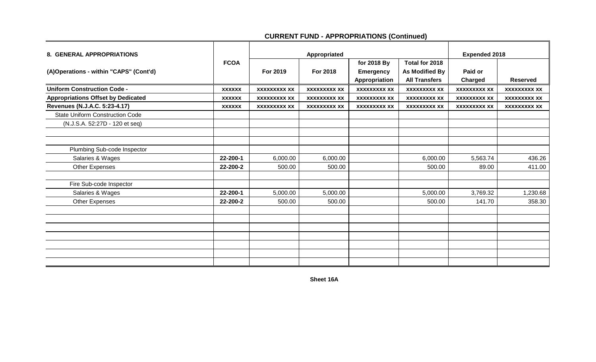| 8. GENERAL APPROPRIATIONS                 |               |                     | Appropriated        |                                                  |                                                          | <b>Expended 2018</b> |                     |
|-------------------------------------------|---------------|---------------------|---------------------|--------------------------------------------------|----------------------------------------------------------|----------------------|---------------------|
| (A)Operations - within "CAPS" (Cont'd)    | <b>FCOA</b>   | For 2019            | For 2018            | for 2018 By<br><b>Emergency</b><br>Appropriation | Total for 2018<br>As Modified By<br><b>All Transfers</b> | Paid or<br>Charged   | <b>Reserved</b>     |
| <b>Uniform Construction Code -</b>        | <b>XXXXXX</b> | <b>XXXXXXXXX XX</b> | <b>XXXXXXXXX XX</b> | <b>XXXXXXXXX XX</b>                              | <b>XXXXXXXXX XX</b>                                      | <b>XXXXXXXXX XX</b>  | <b>XXXXXXXXX XX</b> |
| <b>Appropriations Offset by Dedicated</b> | <b>XXXXXX</b> | <b>XXXXXXXXX XX</b> | <b>XXXXXXXXX XX</b> | <b>XXXXXXXXX XX</b>                              | <b>XXXXXXXXX XX</b>                                      | <b>XXXXXXXXX XX</b>  | <b>XXXXXXXXX XX</b> |
| Revenues (N.J.A.C. 5:23-4.17)             | <b>XXXXXX</b> | <b>XXXXXXXXX XX</b> | <b>XXXXXXXXX XX</b> | <b>XXXXXXXXX XX</b>                              | <b>XXXXXXXXX XX</b>                                      | <b>XXXXXXXXX XX</b>  | <b>XXXXXXXXX XX</b> |
| <b>State Uniform Construction Code</b>    |               |                     |                     |                                                  |                                                          |                      |                     |
| (N.J.S.A. 52:27D - 120 et seq)            |               |                     |                     |                                                  |                                                          |                      |                     |
|                                           |               |                     |                     |                                                  |                                                          |                      |                     |
|                                           |               |                     |                     |                                                  |                                                          |                      |                     |
| Plumbing Sub-code Inspector               |               |                     |                     |                                                  |                                                          |                      |                     |
| Salaries & Wages                          | 22-200-1      | 6,000.00            | 6,000.00            |                                                  | 6,000.00                                                 | 5,563.74             | 436.26              |
| Other Expenses                            | 22-200-2      | 500.00              | 500.00              |                                                  | 500.00                                                   | 89.00                | 411.00              |
|                                           |               |                     |                     |                                                  |                                                          |                      |                     |
| Fire Sub-code Inspector                   |               |                     |                     |                                                  |                                                          |                      |                     |
| Salaries & Wages                          | 22-200-1      | 5,000.00            | 5,000.00            |                                                  | 5,000.00                                                 | 3,769.32             | 1,230.68            |
| Other Expenses                            | 22-200-2      | 500.00              | 500.00              |                                                  | 500.00                                                   | 141.70               | 358.30              |
|                                           |               |                     |                     |                                                  |                                                          |                      |                     |
|                                           |               |                     |                     |                                                  |                                                          |                      |                     |
|                                           |               |                     |                     |                                                  |                                                          |                      |                     |
|                                           |               |                     |                     |                                                  |                                                          |                      |                     |
|                                           |               |                     |                     |                                                  |                                                          |                      |                     |
|                                           |               |                     |                     |                                                  |                                                          |                      |                     |
|                                           |               |                     |                     |                                                  |                                                          |                      |                     |

**Sheet 16A**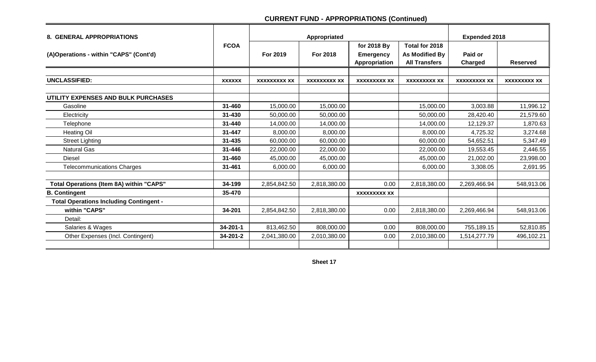| <b>8. GENERAL APPROPRIATIONS</b>                |                |                     | Appropriated        |                                                  |                                                                 | <b>Expended 2018</b> |                     |
|-------------------------------------------------|----------------|---------------------|---------------------|--------------------------------------------------|-----------------------------------------------------------------|----------------------|---------------------|
| (A)Operations - within "CAPS" (Cont'd)          | <b>FCOA</b>    | For 2019            | For 2018            | for 2018 By<br><b>Emergency</b><br>Appropriation | Total for 2018<br><b>As Modified By</b><br><b>All Transfers</b> | Paid or<br>Charged   | <b>Reserved</b>     |
|                                                 |                |                     |                     |                                                  |                                                                 |                      |                     |
| <b>UNCLASSIFIED:</b>                            | <b>XXXXXX</b>  | <b>XXXXXXXXX XX</b> | <b>XXXXXXXXX XX</b> | <b>XXXXXXXXX XX</b>                              | <b>XXXXXXXXX XX</b>                                             | <b>XXXXXXXXX XX</b>  | <b>XXXXXXXXX XX</b> |
| UTILITY EXPENSES AND BULK PURCHASES             |                |                     |                     |                                                  |                                                                 |                      |                     |
| Gasoline                                        | 31-460         | 15,000.00           | 15,000.00           |                                                  | 15,000.00                                                       | 3,003.88             | 11,996.12           |
| Electricity                                     | 31-430         | 50,000.00           | 50,000.00           |                                                  | 50,000.00                                                       | 28,420.40            | 21,579.60           |
| Telephone                                       | 31-440         | 14,000.00           | 14,000.00           |                                                  | 14,000.00                                                       | 12,129.37            | 1,870.63            |
| <b>Heating Oil</b>                              | 31-447         | 8,000.00            | 8,000.00            |                                                  | 8,000.00                                                        | 4,725.32             | 3,274.68            |
| <b>Street Lighting</b>                          | $31 - 435$     | 60,000.00           | 60,000.00           |                                                  | 60,000.00                                                       | 54,652.51            | 5,347.49            |
| <b>Natural Gas</b>                              | $31 - 446$     | 22,000.00           | 22,000.00           |                                                  | 22,000.00                                                       | 19,553.45            | 2,446.55            |
| <b>Diesel</b>                                   | 31-460         | 45,000.00           | 45,000.00           |                                                  | 45,000.00                                                       | 21,002.00            | 23,998.00           |
| <b>Telecommunications Charges</b>               | 31-461         | 6,000.00            | 6,000.00            |                                                  | 6,000.00                                                        | 3,308.05             | 2,691.95            |
|                                                 |                |                     |                     |                                                  |                                                                 |                      |                     |
| <b>Total Operations (Item 8A) within "CAPS"</b> | 34-199         | 2,854,842.50        | 2,818,380.00        | 0.00                                             | 2,818,380.00                                                    | 2,269,466.94         | 548,913.06          |
| <b>B. Contingent</b>                            | 35-470         |                     |                     | <b>XXXXXXXXX XX</b>                              |                                                                 |                      |                     |
| <b>Total Operations Including Contingent -</b>  |                |                     |                     |                                                  |                                                                 |                      |                     |
| within "CAPS"                                   | 34-201         | 2,854,842.50        | 2,818,380.00        | 0.00                                             | 2,818,380.00                                                    | 2,269,466.94         | 548,913.06          |
| Detail:                                         |                |                     |                     |                                                  |                                                                 |                      |                     |
| Salaries & Wages                                | $34 - 201 - 1$ | 813,462.50          | 808,000.00          | 0.00                                             | 808,000.00                                                      | 755,189.15           | 52,810.85           |
| Other Expenses (Incl. Contingent)               | 34-201-2       | 2,041,380.00        | 2,010,380.00        | 0.00                                             | 2,010,380.00                                                    | 1,514,277.79         | 496,102.21          |
|                                                 |                |                     |                     |                                                  |                                                                 |                      |                     |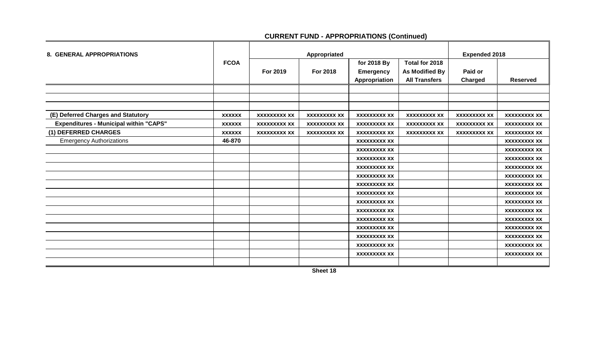| <b>8. GENERAL APPROPRIATIONS</b>              |               |                     | Appropriated        | <b>Expended 2018</b> |                      |                     |                     |
|-----------------------------------------------|---------------|---------------------|---------------------|----------------------|----------------------|---------------------|---------------------|
|                                               | <b>FCOA</b>   |                     |                     | for 2018 By          | Total for 2018       |                     |                     |
|                                               |               | For 2019            | <b>For 2018</b>     | <b>Emergency</b>     | As Modified By       | Paid or             |                     |
|                                               |               |                     |                     | Appropriation        | <b>All Transfers</b> | Charged             | <b>Reserved</b>     |
|                                               |               |                     |                     |                      |                      |                     |                     |
|                                               |               |                     |                     |                      |                      |                     |                     |
|                                               |               |                     |                     |                      |                      |                     |                     |
| (E) Deferred Charges and Statutory            | <b>XXXXXX</b> | <b>XXXXXXXXX XX</b> | <b>XXXXXXXXX XX</b> | <b>XXXXXXXXX XX</b>  | <b>XXXXXXXXX XX</b>  | <b>XXXXXXXXX XX</b> | <b>XXXXXXXXX XX</b> |
| <b>Expenditures - Municipal within "CAPS"</b> | <b>XXXXXX</b> | <b>XXXXXXXXX XX</b> | <b>XXXXXXXXX XX</b> | <b>XXXXXXXXX XX</b>  | <b>XXXXXXXXX XX</b>  | <b>XXXXXXXXX XX</b> | <b>XXXXXXXXX XX</b> |
| (1) DEFERRED CHARGES                          | <b>XXXXXX</b> | <b>XXXXXXXXX XX</b> | <b>XXXXXXXXX XX</b> | <b>XXXXXXXXX XX</b>  | <b>XXXXXXXXX XX</b>  | <b>XXXXXXXXX XX</b> | <b>XXXXXXXXX XX</b> |
| <b>Emergency Authorizations</b>               | 46-870        |                     |                     | <b>XXXXXXXXX XX</b>  |                      |                     | <b>XXXXXXXXX XX</b> |
|                                               |               |                     |                     | <b>XXXXXXXXX XX</b>  |                      |                     | <b>XXXXXXXXX XX</b> |
|                                               |               |                     |                     | <b>XXXXXXXXX XX</b>  |                      |                     | <b>XXXXXXXXX XX</b> |
|                                               |               |                     |                     | <b>XXXXXXXXX XX</b>  |                      |                     | <b>XXXXXXXXX XX</b> |
|                                               |               |                     |                     | <b>XXXXXXXXX XX</b>  |                      |                     | <b>XXXXXXXXX XX</b> |
|                                               |               |                     |                     | <b>XXXXXXXXX XX</b>  |                      |                     | <b>XXXXXXXXX XX</b> |
|                                               |               |                     |                     | <b>XXXXXXXXX XX</b>  |                      |                     | <b>XXXXXXXXX XX</b> |
|                                               |               |                     |                     | <b>XXXXXXXXX XX</b>  |                      |                     | <b>XXXXXXXXX XX</b> |
|                                               |               |                     |                     | <b>XXXXXXXXX XX</b>  |                      |                     | <b>XXXXXXXXX XX</b> |
|                                               |               |                     |                     | <b>XXXXXXXXX XX</b>  |                      |                     | <b>XXXXXXXXX XX</b> |
|                                               |               |                     |                     | <b>XXXXXXXXX XX</b>  |                      |                     | <b>XXXXXXXXX XX</b> |
|                                               |               |                     |                     | <b>XXXXXXXXX XX</b>  |                      |                     | <b>XXXXXXXXX XX</b> |
|                                               |               |                     |                     | <b>XXXXXXXXX XX</b>  |                      |                     | <b>XXXXXXXXX XX</b> |
|                                               |               |                     |                     | <b>XXXXXXXXX XX</b>  |                      |                     | <b>XXXXXXXXX XX</b> |
|                                               |               |                     |                     |                      |                      |                     |                     |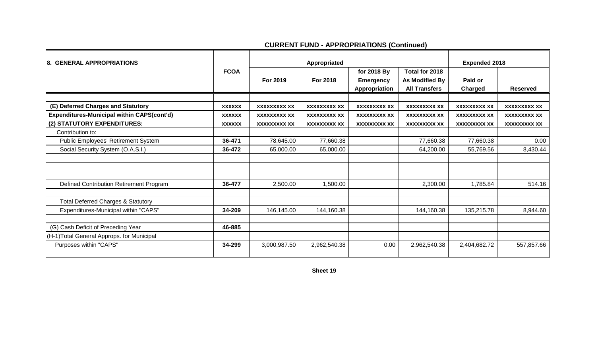| <b>8. GENERAL APPROPRIATIONS</b>                  |               |                     | Appropriated        | <b>Expended 2018</b> |                      |                     |                     |
|---------------------------------------------------|---------------|---------------------|---------------------|----------------------|----------------------|---------------------|---------------------|
|                                                   | <b>FCOA</b>   |                     |                     | for 2018 By          | Total for 2018       |                     |                     |
|                                                   |               | For 2019            | For 2018            | <b>Emergency</b>     | As Modified By       | Paid or             |                     |
|                                                   |               |                     |                     | Appropriation        | <b>All Transfers</b> | <b>Charged</b>      | <b>Reserved</b>     |
|                                                   |               |                     |                     |                      |                      |                     |                     |
| (E) Deferred Charges and Statutory                | <b>XXXXXX</b> | <b>XXXXXXXXX XX</b> | <b>XXXXXXXXX XX</b> | <b>XXXXXXXXX XX</b>  | <b>XXXXXXXXX XX</b>  | <b>XXXXXXXXX XX</b> | <b>XXXXXXXXX XX</b> |
| <b>Expenditures-Municipal within CAPS(cont'd)</b> | <b>XXXXXX</b> | <b>XXXXXXXXX XX</b> | <b>XXXXXXXXX XX</b> | <b>XXXXXXXXX XX</b>  | <b>XXXXXXXXX XX</b>  | <b>XXXXXXXXX XX</b> | <b>XXXXXXXXX XX</b> |
| (2) STATUTORY EXPENDITURES:                       | <b>XXXXXX</b> | <b>XXXXXXXXX XX</b> | <b>XXXXXXXXX XX</b> | <b>XXXXXXXXX XX</b>  | <b>XXXXXXXXX XX</b>  | <b>XXXXXXXXX XX</b> | <b>XXXXXXXXX XX</b> |
| Contribution to:                                  |               |                     |                     |                      |                      |                     |                     |
| Public Employees' Retirement System               | 36-471        | 78,645.00           | 77,660.38           |                      | 77,660.38            | 77,660.38           | 0.00                |
| Social Security System (O.A.S.I.)                 | 36-472        | 65,000.00           | 65,000.00           |                      | 64,200.00            | 55,769.56           | 8,430.44            |
|                                                   |               |                     |                     |                      |                      |                     |                     |
|                                                   |               |                     |                     |                      |                      |                     |                     |
|                                                   |               |                     |                     |                      |                      |                     |                     |
| Defined Contribution Retirement Program           | 36-477        | 2,500.00            | 1,500.00            |                      | 2,300.00             | 1,785.84            | 514.16              |
|                                                   |               |                     |                     |                      |                      |                     |                     |
| <b>Total Deferred Charges &amp; Statutory</b>     |               |                     |                     |                      |                      |                     |                     |
| Expenditures-Municipal within "CAPS"              | 34-209        | 146,145.00          | 144,160.38          |                      | 144,160.38           | 135,215.78          | 8,944.60            |
|                                                   |               |                     |                     |                      |                      |                     |                     |
| (G) Cash Deficit of Preceding Year                | 46-885        |                     |                     |                      |                      |                     |                     |
| (H-1) Total General Approps. for Municipal        |               |                     |                     |                      |                      |                     |                     |
| Purposes within "CAPS"                            | 34-299        | 3,000,987.50        | 2,962,540.38        | 0.00                 | 2,962,540.38         | 2,404,682.72        | 557,857.66          |
|                                                   |               |                     |                     |                      |                      |                     |                     |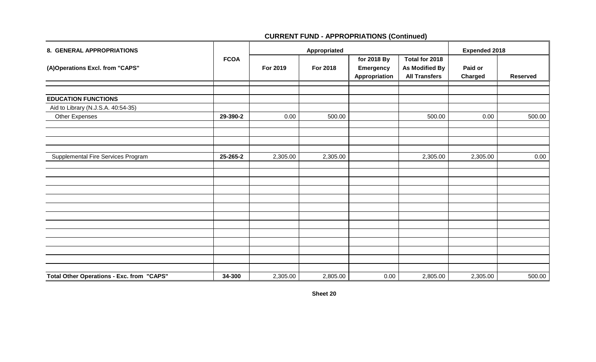| 8. GENERAL APPROPRIATIONS                 |             |          | Appropriated | <b>Expended 2018</b>                             |                                                                 |                    |                 |
|-------------------------------------------|-------------|----------|--------------|--------------------------------------------------|-----------------------------------------------------------------|--------------------|-----------------|
| (A)Operations Excl. from "CAPS"           | <b>FCOA</b> | For 2019 | For 2018     | for 2018 By<br><b>Emergency</b><br>Appropriation | Total for 2018<br><b>As Modified By</b><br><b>All Transfers</b> | Paid or<br>Charged | <b>Reserved</b> |
|                                           |             |          |              |                                                  |                                                                 |                    |                 |
| <b>EDUCATION FUNCTIONS</b>                |             |          |              |                                                  |                                                                 |                    |                 |
| Aid to Library (N.J.S.A. 40:54-35)        |             |          |              |                                                  |                                                                 |                    |                 |
| Other Expenses                            | 29-390-2    | 0.00     | 500.00       |                                                  | 500.00                                                          | 0.00               | 500.00          |
|                                           |             |          |              |                                                  |                                                                 |                    |                 |
|                                           |             |          |              |                                                  |                                                                 |                    |                 |
|                                           |             |          |              |                                                  |                                                                 |                    |                 |
| Supplemental Fire Services Program        | 25-265-2    | 2,305.00 | 2,305.00     |                                                  | 2,305.00                                                        | 2,305.00           | 0.00            |
|                                           |             |          |              |                                                  |                                                                 |                    |                 |
|                                           |             |          |              |                                                  |                                                                 |                    |                 |
|                                           |             |          |              |                                                  |                                                                 |                    |                 |
|                                           |             |          |              |                                                  |                                                                 |                    |                 |
|                                           |             |          |              |                                                  |                                                                 |                    |                 |
|                                           |             |          |              |                                                  |                                                                 |                    |                 |
|                                           |             |          |              |                                                  |                                                                 |                    |                 |
|                                           |             |          |              |                                                  |                                                                 |                    |                 |
|                                           |             |          |              |                                                  |                                                                 |                    |                 |
|                                           |             |          |              |                                                  |                                                                 |                    |                 |
|                                           |             |          |              |                                                  |                                                                 |                    |                 |
| Total Other Operations - Exc. from "CAPS" | 34-300      | 2,305.00 | 2,805.00     | 0.00                                             | 2,805.00                                                        | 2,305.00           | 500.00          |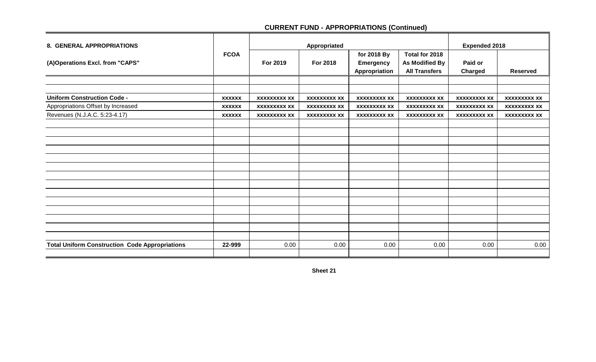| <b>8. GENERAL APPROPRIATIONS</b>                      |               |                     | Appropriated        | <b>Expended 2018</b> |                      |                     |                     |
|-------------------------------------------------------|---------------|---------------------|---------------------|----------------------|----------------------|---------------------|---------------------|
|                                                       | <b>FCOA</b>   |                     |                     | for 2018 By          | Total for 2018       |                     |                     |
| (A)Operations Excl. from "CAPS"                       |               | For 2019            | For 2018            | <b>Emergency</b>     | As Modified By       | Paid or             |                     |
|                                                       |               |                     |                     | Appropriation        | <b>All Transfers</b> | Charged             | <b>Reserved</b>     |
|                                                       |               |                     |                     |                      |                      |                     |                     |
|                                                       |               |                     |                     |                      |                      |                     |                     |
| <b>Uniform Construction Code -</b>                    | <b>XXXXXX</b> | <b>XXXXXXXXX XX</b> | <b>XXXXXXXXX XX</b> | <b>XXXXXXXXX XX</b>  | <b>XXXXXXXXX XX</b>  | <b>XXXXXXXXX XX</b> | <b>XXXXXXXXX XX</b> |
| Appropriations Offset by Increased                    | <b>XXXXXX</b> | <b>XXXXXXXXX XX</b> | <b>XXXXXXXXX XX</b> | <b>XXXXXXXXX XX</b>  | <b>XXXXXXXXX XX</b>  | <b>XXXXXXXXX XX</b> | <b>XXXXXXXXX XX</b> |
| Revenues (N.J.A.C. 5:23-4.17)                         | <b>XXXXXX</b> | <b>XXXXXXXXX XX</b> | <b>XXXXXXXXX XX</b> | <b>XXXXXXXXX XX</b>  | <b>XXXXXXXXX XX</b>  | <b>XXXXXXXXX XX</b> | <b>XXXXXXXXX XX</b> |
|                                                       |               |                     |                     |                      |                      |                     |                     |
|                                                       |               |                     |                     |                      |                      |                     |                     |
|                                                       |               |                     |                     |                      |                      |                     |                     |
|                                                       |               |                     |                     |                      |                      |                     |                     |
|                                                       |               |                     |                     |                      |                      |                     |                     |
|                                                       |               |                     |                     |                      |                      |                     |                     |
|                                                       |               |                     |                     |                      |                      |                     |                     |
|                                                       |               |                     |                     |                      |                      |                     |                     |
|                                                       |               |                     |                     |                      |                      |                     |                     |
|                                                       |               |                     |                     |                      |                      |                     |                     |
|                                                       |               |                     |                     |                      |                      |                     |                     |
|                                                       |               |                     |                     |                      |                      |                     |                     |
|                                                       |               |                     |                     |                      |                      |                     |                     |
|                                                       |               |                     |                     |                      |                      |                     |                     |
| <b>Total Uniform Construction Code Appropriations</b> | 22-999        | 0.00                | 0.00                | 0.00                 | 0.00                 | 0.00                | 0.00                |
|                                                       |               |                     |                     |                      |                      |                     |                     |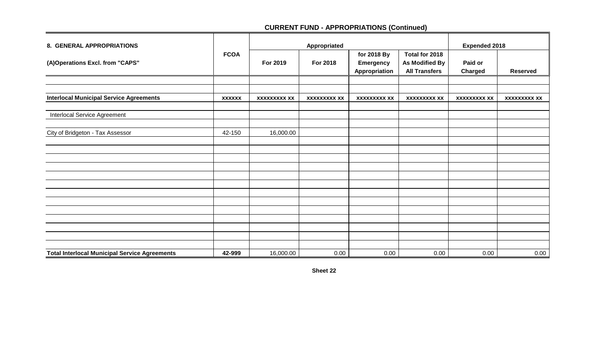| 8. GENERAL APPROPRIATIONS                            |               |                     | Appropriated        | <b>Expended 2018</b>                             |                                                                 |                     |                     |
|------------------------------------------------------|---------------|---------------------|---------------------|--------------------------------------------------|-----------------------------------------------------------------|---------------------|---------------------|
| (A)Operations Excl. from "CAPS"                      | <b>FCOA</b>   | For 2019            | For 2018            | for 2018 By<br><b>Emergency</b><br>Appropriation | Total for 2018<br><b>As Modified By</b><br><b>All Transfers</b> | Paid or<br>Charged  | <b>Reserved</b>     |
|                                                      |               |                     |                     |                                                  |                                                                 |                     |                     |
| <b>Interlocal Municipal Service Agreements</b>       | <b>XXXXXX</b> | <b>XXXXXXXXX XX</b> | <b>XXXXXXXXX XX</b> | <b>XXXXXXXXX XX</b>                              | <b>XXXXXXXXX XX</b>                                             | <b>XXXXXXXXX XX</b> | <b>XXXXXXXXX XX</b> |
| <b>Interlocal Service Agreement</b>                  |               |                     |                     |                                                  |                                                                 |                     |                     |
| City of Bridgeton - Tax Assessor                     | 42-150        | 16,000.00           |                     |                                                  |                                                                 |                     |                     |
|                                                      |               |                     |                     |                                                  |                                                                 |                     |                     |
|                                                      |               |                     |                     |                                                  |                                                                 |                     |                     |
|                                                      |               |                     |                     |                                                  |                                                                 |                     |                     |
|                                                      |               |                     |                     |                                                  |                                                                 |                     |                     |
|                                                      |               |                     |                     |                                                  |                                                                 |                     |                     |
|                                                      |               |                     |                     |                                                  |                                                                 |                     |                     |
|                                                      |               |                     |                     |                                                  |                                                                 |                     |                     |
|                                                      |               |                     |                     |                                                  |                                                                 |                     |                     |
|                                                      |               |                     |                     |                                                  |                                                                 |                     |                     |
| <b>Total Interlocal Municipal Service Agreements</b> | 42-999        | 16,000.00           | 0.00                | 0.00                                             | 0.00                                                            | 0.00                | 0.00                |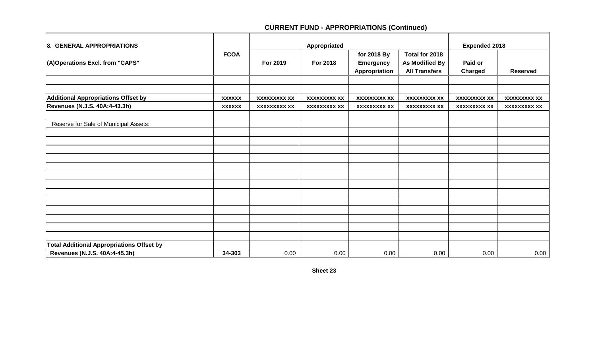| 8. GENERAL APPROPRIATIONS                        |               |                     | Appropriated        | <b>Expended 2018</b> |                      |                     |                     |
|--------------------------------------------------|---------------|---------------------|---------------------|----------------------|----------------------|---------------------|---------------------|
|                                                  | <b>FCOA</b>   |                     |                     | for 2018 By          | Total for 2018       |                     |                     |
| (A)Operations Excl. from "CAPS"                  |               | For 2019            | For 2018            | <b>Emergency</b>     | As Modified By       | Paid or             |                     |
|                                                  |               |                     |                     | Appropriation        | <b>All Transfers</b> | Charged             | <b>Reserved</b>     |
|                                                  |               |                     |                     |                      |                      |                     |                     |
|                                                  |               |                     |                     |                      |                      |                     |                     |
| <b>Additional Appropriations Offset by</b>       | <b>XXXXXX</b> | <b>XXXXXXXXX XX</b> | <b>XXXXXXXXX XX</b> | <b>XXXXXXXXX XX</b>  | <b>XXXXXXXXX XX</b>  | <b>XXXXXXXXX XX</b> | <b>XXXXXXXXX XX</b> |
| Revenues (N.J.S. 40A:4-43.3h)                    | <b>XXXXXX</b> | <b>XXXXXXXXX XX</b> | <b>XXXXXXXXX XX</b> | <b>XXXXXXXXX XX</b>  | <b>XXXXXXXXX XX</b>  | <b>XXXXXXXXX XX</b> | <b>XXXXXXXXX XX</b> |
|                                                  |               |                     |                     |                      |                      |                     |                     |
| Reserve for Sale of Municipal Assets:            |               |                     |                     |                      |                      |                     |                     |
|                                                  |               |                     |                     |                      |                      |                     |                     |
|                                                  |               |                     |                     |                      |                      |                     |                     |
|                                                  |               |                     |                     |                      |                      |                     |                     |
|                                                  |               |                     |                     |                      |                      |                     |                     |
|                                                  |               |                     |                     |                      |                      |                     |                     |
|                                                  |               |                     |                     |                      |                      |                     |                     |
|                                                  |               |                     |                     |                      |                      |                     |                     |
|                                                  |               |                     |                     |                      |                      |                     |                     |
|                                                  |               |                     |                     |                      |                      |                     |                     |
|                                                  |               |                     |                     |                      |                      |                     |                     |
|                                                  |               |                     |                     |                      |                      |                     |                     |
|                                                  |               |                     |                     |                      |                      |                     |                     |
|                                                  |               |                     |                     |                      |                      |                     |                     |
| <b>Total Additional Appropriations Offset by</b> |               |                     |                     |                      |                      |                     |                     |
| Revenues (N.J.S. 40A:4-45.3h)                    | 34-303        | 0.00                | 0.00                | 0.00                 | 0.00                 | 0.00                | 0.00                |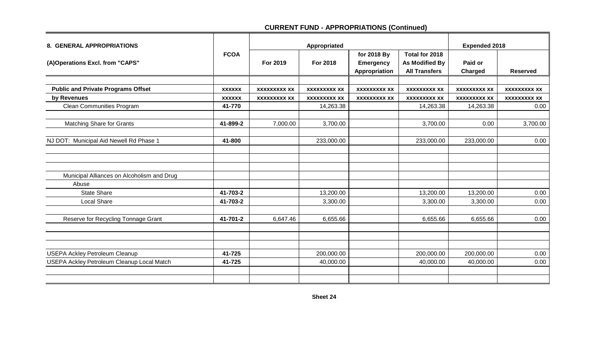| <b>8. GENERAL APPROPRIATIONS</b>                  |               |                     | Appropriated        | <b>Expended 2018</b>                             |                                                          |                     |                     |
|---------------------------------------------------|---------------|---------------------|---------------------|--------------------------------------------------|----------------------------------------------------------|---------------------|---------------------|
| (A)Operations Excl. from "CAPS"                   | <b>FCOA</b>   | For 2019            | <b>For 2018</b>     | for 2018 By<br><b>Emergency</b><br>Appropriation | Total for 2018<br>As Modified By<br><b>All Transfers</b> | Paid or<br>Charged  | <b>Reserved</b>     |
|                                                   |               |                     |                     |                                                  |                                                          |                     |                     |
| <b>Public and Private Programs Offset</b>         | <b>XXXXXX</b> | <b>XXXXXXXXX XX</b> | <b>XXXXXXXXX XX</b> | <b>XXXXXXXXX XX</b>                              | <b>XXXXXXXXX XX</b>                                      | <b>XXXXXXXXX XX</b> | <b>XXXXXXXXX XX</b> |
| by Revenues                                       | <b>XXXXXX</b> | <b>XXXXXXXXX XX</b> | <b>XXXXXXXXX XX</b> | <b>XXXXXXXXX XX</b>                              | <b>XXXXXXXXX XX</b>                                      | <b>XXXXXXXXX XX</b> | <b>XXXXXXXXX XX</b> |
| <b>Clean Communities Program</b>                  | 41-770        |                     | 14,263.38           |                                                  | 14,263.38                                                | 14,263.38           | 0.00                |
| <b>Matching Share for Grants</b>                  | 41-899-2      | 7,000.00            | 3,700.00            |                                                  | 3,700.00                                                 | 0.00                | 3,700.00            |
| NJ DOT: Municipal Aid Newell Rd Phase 1           | 41-800        |                     | 233,000.00          |                                                  | 233,000.00                                               | 233,000.00          | 0.00                |
|                                                   |               |                     |                     |                                                  |                                                          |                     |                     |
| Municipal Alliances on Alcoholism and Drug        |               |                     |                     |                                                  |                                                          |                     |                     |
| Abuse                                             |               |                     |                     |                                                  |                                                          |                     |                     |
| <b>State Share</b>                                | 41-703-2      |                     | 13,200.00           |                                                  | 13,200.00                                                | 13,200.00           | 0.00                |
| Local Share                                       | 41-703-2      |                     | 3,300.00            |                                                  | 3,300.00                                                 | 3,300.00            | 0.00                |
| Reserve for Recycling Tonnage Grant               | 41-701-2      | 6,647.46            | 6,655.66            |                                                  | 6,655.66                                                 | 6,655.66            | 0.00                |
|                                                   |               |                     |                     |                                                  |                                                          |                     |                     |
| <b>USEPA Ackley Petroleum Cleanup</b>             | 41-725        |                     | 200,000.00          |                                                  | 200,000.00                                               | 200,000.00          | 0.00                |
| <b>USEPA Ackley Petroleum Cleanup Local Match</b> | 41-725        |                     | 40,000.00           |                                                  | 40,000.00                                                | 40,000.00           | 0.00                |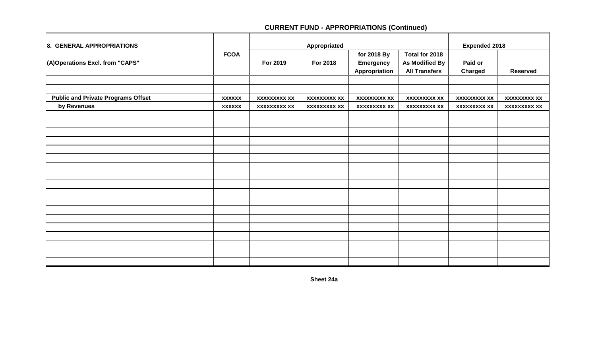| 8. GENERAL APPROPRIATIONS                 |               |                     | Appropriated        | <b>Expended 2018</b>                             |                                                                 |                     |                     |
|-------------------------------------------|---------------|---------------------|---------------------|--------------------------------------------------|-----------------------------------------------------------------|---------------------|---------------------|
| (A)Operations Excl. from "CAPS"           | <b>FCOA</b>   | For 2019            | For 2018            | for 2018 By<br><b>Emergency</b><br>Appropriation | Total for 2018<br><b>As Modified By</b><br><b>All Transfers</b> | Paid or<br>Charged  | <b>Reserved</b>     |
|                                           |               |                     |                     |                                                  |                                                                 |                     |                     |
|                                           |               |                     |                     |                                                  |                                                                 |                     |                     |
| <b>Public and Private Programs Offset</b> | <b>XXXXXX</b> | <b>XXXXXXXXX XX</b> | <b>XXXXXXXXX XX</b> | <b>XXXXXXXXX XX</b>                              | <b>XXXXXXXXX XX</b>                                             | <b>XXXXXXXXX XX</b> | <b>XXXXXXXXX XX</b> |
| by Revenues                               | <b>XXXXXX</b> | <b>XXXXXXXXX XX</b> | <b>XXXXXXXXX XX</b> | <b>XXXXXXXXX XX</b>                              | <b>XXXXXXXXX XX</b>                                             | <b>XXXXXXXXX XX</b> | <b>XXXXXXXXX XX</b> |
|                                           |               |                     |                     |                                                  |                                                                 |                     |                     |
|                                           |               |                     |                     |                                                  |                                                                 |                     |                     |
|                                           |               |                     |                     |                                                  |                                                                 |                     |                     |
|                                           |               |                     |                     |                                                  |                                                                 |                     |                     |
|                                           |               |                     |                     |                                                  |                                                                 |                     |                     |
|                                           |               |                     |                     |                                                  |                                                                 |                     |                     |
|                                           |               |                     |                     |                                                  |                                                                 |                     |                     |
|                                           |               |                     |                     |                                                  |                                                                 |                     |                     |
|                                           |               |                     |                     |                                                  |                                                                 |                     |                     |
|                                           |               |                     |                     |                                                  |                                                                 |                     |                     |
|                                           |               |                     |                     |                                                  |                                                                 |                     |                     |
|                                           |               |                     |                     |                                                  |                                                                 |                     |                     |
|                                           |               |                     |                     |                                                  |                                                                 |                     |                     |
|                                           |               |                     |                     |                                                  |                                                                 |                     |                     |
|                                           |               |                     |                     |                                                  |                                                                 |                     |                     |
|                                           |               |                     |                     |                                                  |                                                                 |                     |                     |
|                                           |               |                     |                     |                                                  |                                                                 |                     |                     |
|                                           |               |                     |                     |                                                  |                                                                 |                     |                     |

**Sheet 24a**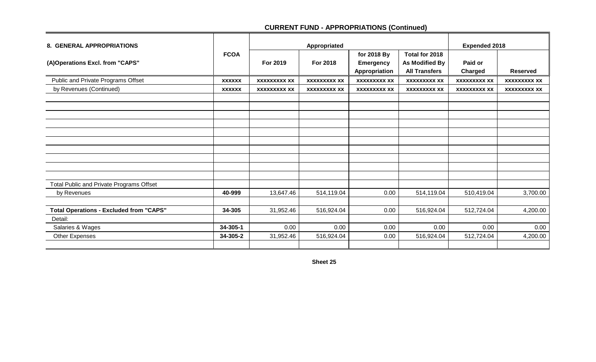| 8. GENERAL APPROPRIATIONS                      |               |                     | Appropriated        |                                   |                                        | <b>Expended 2018</b> |                     |
|------------------------------------------------|---------------|---------------------|---------------------|-----------------------------------|----------------------------------------|----------------------|---------------------|
|                                                | <b>FCOA</b>   | For 2019            | For 2018            | for 2018 By                       | Total for 2018                         | Paid or              |                     |
| (A)Operations Excl. from "CAPS"                |               |                     |                     | <b>Emergency</b><br>Appropriation | As Modified By<br><b>All Transfers</b> | <b>Charged</b>       | <b>Reserved</b>     |
| Public and Private Programs Offset             | <b>XXXXXX</b> | <b>XXXXXXXXX XX</b> | <b>XXXXXXXXX XX</b> | <b>XXXXXXXXX XX</b>               | <b>XXXXXXXXX XX</b>                    | <b>XXXXXXXXX XX</b>  | <b>XXXXXXXXX XX</b> |
| by Revenues (Continued)                        | <b>XXXXXX</b> | <b>XXXXXXXXX XX</b> | <b>XXXXXXXXX XX</b> | <b>XXXXXXXXX XX</b>               | <b>XXXXXXXXX XX</b>                    | <b>XXXXXXXXX XX</b>  | <b>XXXXXXXXX XX</b> |
|                                                |               |                     |                     |                                   |                                        |                      |                     |
|                                                |               |                     |                     |                                   |                                        |                      |                     |
|                                                |               |                     |                     |                                   |                                        |                      |                     |
|                                                |               |                     |                     |                                   |                                        |                      |                     |
|                                                |               |                     |                     |                                   |                                        |                      |                     |
|                                                |               |                     |                     |                                   |                                        |                      |                     |
|                                                |               |                     |                     |                                   |                                        |                      |                     |
|                                                |               |                     |                     |                                   |                                        |                      |                     |
|                                                |               |                     |                     |                                   |                                        |                      |                     |
| Total Public and Private Programs Offset       |               |                     |                     |                                   |                                        |                      |                     |
| by Revenues                                    | 40-999        | 13,647.46           | 514,119.04          | 0.00                              | 514,119.04                             | 510,419.04           | 3,700.00            |
|                                                |               |                     |                     |                                   |                                        |                      |                     |
| <b>Total Operations - Excluded from "CAPS"</b> | 34-305        | 31,952.46           | 516,924.04          | 0.00                              | 516,924.04                             | 512,724.04           | 4,200.00            |
| Detail:                                        |               |                     |                     |                                   |                                        |                      |                     |
| Salaries & Wages                               | 34-305-1      | 0.00                | 0.00                | 0.00                              | 0.00                                   | 0.00                 | 0.00                |
| Other Expenses                                 | 34-305-2      | 31,952.46           | 516,924.04          | 0.00                              | 516,924.04                             | 512,724.04           | 4,200.00            |
|                                                |               |                     |                     |                                   |                                        |                      |                     |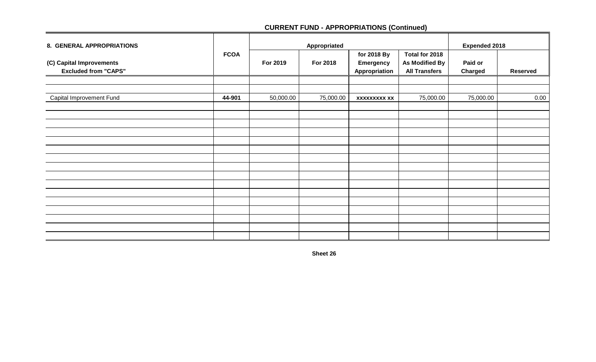| 8. GENERAL APPROPRIATIONS                               |             |           | Appropriated | <b>Expended 2018</b>                             |                                                                 |                           |                 |
|---------------------------------------------------------|-------------|-----------|--------------|--------------------------------------------------|-----------------------------------------------------------------|---------------------------|-----------------|
| (C) Capital Improvements<br><b>Excluded from "CAPS"</b> | <b>FCOA</b> | For 2019  | For 2018     | for 2018 By<br><b>Emergency</b><br>Appropriation | Total for 2018<br><b>As Modified By</b><br><b>All Transfers</b> | Paid or<br><b>Charged</b> | <b>Reserved</b> |
|                                                         |             |           |              |                                                  |                                                                 |                           |                 |
| Capital Improvement Fund                                | 44-901      | 50,000.00 | 75,000.00    | <b>XXXXXXXXX XX</b>                              | 75,000.00                                                       | 75,000.00                 | 0.00            |
|                                                         |             |           |              |                                                  |                                                                 |                           |                 |
|                                                         |             |           |              |                                                  |                                                                 |                           |                 |
|                                                         |             |           |              |                                                  |                                                                 |                           |                 |
|                                                         |             |           |              |                                                  |                                                                 |                           |                 |
|                                                         |             |           |              |                                                  |                                                                 |                           |                 |
|                                                         |             |           |              |                                                  |                                                                 |                           |                 |
|                                                         |             |           |              |                                                  |                                                                 |                           |                 |
|                                                         |             |           |              |                                                  |                                                                 |                           |                 |
|                                                         |             |           |              |                                                  |                                                                 |                           |                 |
|                                                         |             |           |              |                                                  |                                                                 |                           |                 |
|                                                         |             |           |              |                                                  |                                                                 |                           |                 |
|                                                         |             |           |              |                                                  |                                                                 |                           |                 |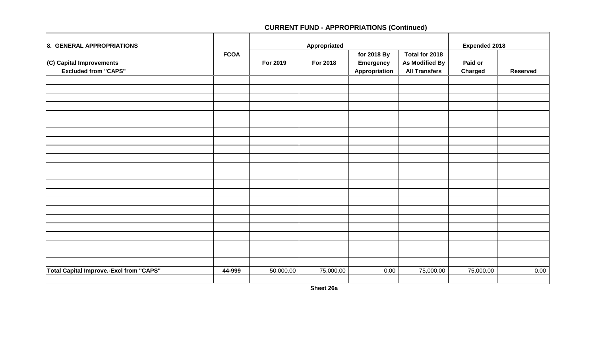| 8. GENERAL APPROPRIATIONS                               |             |           | Appropriated | <b>Expended 2018</b>                             |                                                                 |                    |                 |
|---------------------------------------------------------|-------------|-----------|--------------|--------------------------------------------------|-----------------------------------------------------------------|--------------------|-----------------|
| (C) Capital Improvements<br><b>Excluded from "CAPS"</b> | <b>FCOA</b> | For 2019  | For 2018     | for 2018 By<br><b>Emergency</b><br>Appropriation | Total for 2018<br><b>As Modified By</b><br><b>All Transfers</b> | Paid or<br>Charged | <b>Reserved</b> |
|                                                         |             |           |              |                                                  |                                                                 |                    |                 |
|                                                         |             |           |              |                                                  |                                                                 |                    |                 |
|                                                         |             |           |              |                                                  |                                                                 |                    |                 |
|                                                         |             |           |              |                                                  |                                                                 |                    |                 |
|                                                         |             |           |              |                                                  |                                                                 |                    |                 |
|                                                         |             |           |              |                                                  |                                                                 |                    |                 |
|                                                         |             |           |              |                                                  |                                                                 |                    |                 |
|                                                         |             |           |              |                                                  |                                                                 |                    |                 |
|                                                         |             |           |              |                                                  |                                                                 |                    |                 |
|                                                         |             |           |              |                                                  |                                                                 |                    |                 |
|                                                         |             |           |              |                                                  |                                                                 |                    |                 |
|                                                         |             |           |              |                                                  |                                                                 |                    |                 |
|                                                         |             |           |              |                                                  |                                                                 |                    |                 |
|                                                         |             |           |              |                                                  |                                                                 |                    |                 |
|                                                         |             |           |              |                                                  |                                                                 |                    |                 |
|                                                         |             |           |              |                                                  |                                                                 |                    |                 |
|                                                         |             |           |              |                                                  |                                                                 |                    |                 |
|                                                         |             |           |              |                                                  |                                                                 |                    |                 |
|                                                         |             |           |              |                                                  |                                                                 |                    |                 |
|                                                         |             |           |              |                                                  |                                                                 |                    |                 |
|                                                         |             |           |              |                                                  |                                                                 |                    |                 |
|                                                         |             |           |              |                                                  |                                                                 |                    |                 |
| <b>Total Capital Improve.-Excl from "CAPS"</b>          | 44-999      | 50,000.00 | 75,000.00    | 0.00                                             | 75,000.00                                                       | 75,000.00          | 0.00            |
|                                                         |             |           |              |                                                  |                                                                 |                    |                 |

**Sheet 26a**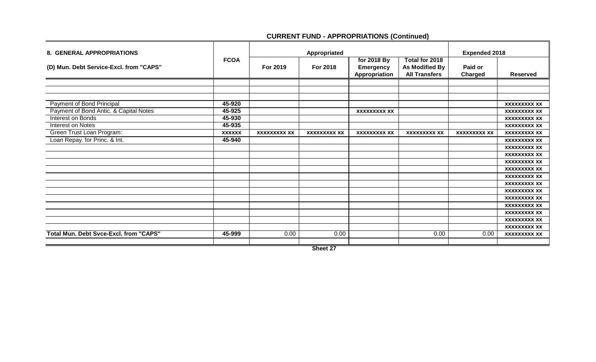| <b>8. GENERAL APPROPRIATIONS</b>              |               |                     | Appropriated        | <b>Expended 2018</b>                             |                                                          |                     |                     |
|-----------------------------------------------|---------------|---------------------|---------------------|--------------------------------------------------|----------------------------------------------------------|---------------------|---------------------|
| (D) Mun. Debt Service-Excl. from "CAPS"       | <b>FCOA</b>   | For 2019            | For 2018            | for 2018 By<br><b>Emergency</b><br>Appropriation | Total for 2018<br>As Modified By<br><b>All Transfers</b> | Paid or<br>Charged  | <b>Reserved</b>     |
|                                               |               |                     |                     |                                                  |                                                          |                     |                     |
|                                               |               |                     |                     |                                                  |                                                          |                     |                     |
|                                               |               |                     |                     |                                                  |                                                          |                     |                     |
| <b>Payment of Bond Principal</b>              | 45-920        |                     |                     |                                                  |                                                          |                     | <b>XXXXXXXXX XX</b> |
| Payment of Bond Antic. & Capital Notes        | 45-925        |                     |                     | <b>XXXXXXXXX XX</b>                              |                                                          |                     | <b>XXXXXXXXX XX</b> |
| Interest on Bonds                             | 45-930        |                     |                     |                                                  |                                                          |                     | <b>XXXXXXXXX XX</b> |
| <b>Interest on Notes</b>                      | 45-935        |                     |                     |                                                  |                                                          |                     | <b>XXXXXXXXX XX</b> |
| Green Trust Loan Program:                     | <b>XXXXXX</b> | <b>XXXXXXXXX XX</b> | <b>XXXXXXXXX XX</b> | <b>XXXXXXXXX XX</b>                              | <b>XXXXXXXXX XX</b>                                      | <b>XXXXXXXXX XX</b> | <b>XXXXXXXXX XX</b> |
| Loan Repay. for Princ. & Int.                 | 45-940        |                     |                     |                                                  |                                                          |                     | <b>XXXXXXXXX XX</b> |
|                                               |               |                     |                     |                                                  |                                                          |                     | <b>XXXXXXXXX XX</b> |
|                                               |               |                     |                     |                                                  |                                                          |                     | <b>XXXXXXXXX XX</b> |
|                                               |               |                     |                     |                                                  |                                                          |                     | <b>XXXXXXXXX XX</b> |
|                                               |               |                     |                     |                                                  |                                                          |                     | <b>XXXXXXXXX XX</b> |
|                                               |               |                     |                     |                                                  |                                                          |                     | <b>XXXXXXXXX XX</b> |
|                                               |               |                     |                     |                                                  |                                                          |                     | <b>XXXXXXXXX XX</b> |
|                                               |               |                     |                     |                                                  |                                                          |                     | <b>XXXXXXXXX XX</b> |
|                                               |               |                     |                     |                                                  |                                                          |                     | <b>XXXXXXXXX XX</b> |
|                                               |               |                     |                     |                                                  |                                                          |                     | <b>XXXXXXXXX XX</b> |
|                                               |               |                     |                     |                                                  |                                                          |                     | <b>XXXXXXXXX XX</b> |
|                                               |               |                     |                     |                                                  |                                                          |                     | <b>XXXXXXXXX XX</b> |
|                                               |               |                     |                     |                                                  |                                                          |                     | <b>XXXXXXXXX XX</b> |
| <b>Total Mun. Debt Svce-Excl. from "CAPS"</b> | 45-999        | 0.00                | 0.00                |                                                  | 0.00                                                     | 0.00                | <b>XXXXXXXXX XX</b> |
|                                               |               |                     |                     |                                                  |                                                          |                     |                     |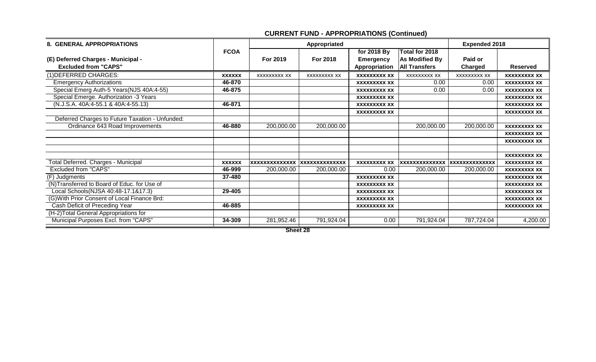| 8. GENERAL APPROPRIATIONS                       |               |                               | Appropriated | <b>Expended 2018</b> |                       |                       |                     |
|-------------------------------------------------|---------------|-------------------------------|--------------|----------------------|-----------------------|-----------------------|---------------------|
|                                                 | <b>FCOA</b>   |                               |              | for 2018 By          | Total for 2018        |                       |                     |
| (E) Deferred Charges - Municipal -              |               | For 2019                      | For 2018     | <b>Emergency</b>     | <b>As Modified By</b> | Paid or               |                     |
| <b>Excluded from "CAPS"</b>                     |               |                               |              | Appropriation        | <b>All Transfers</b>  | Charged               | <b>Reserved</b>     |
| (1) DEFERRED CHARGES:                           | <b>XXXXXX</b> | <b>XXXXXXXXX XX</b>           | XXXXXXXXX XX | <b>XXXXXXXXX XX</b>  | XXXXXXXX XX           | <b>XXXXXXXXX XX</b>   | <b>XXXXXXXXX XX</b> |
| <b>Emergency Authorizations</b>                 | 46-870        |                               |              | <b>XXXXXXXXX XX</b>  | 0.00                  | 0.00                  | <b>XXXXXXXXX XX</b> |
| Special Emerg Auth-5 Years(NJS 40A:4-55)        | 46-875        |                               |              | <b>XXXXXXXXX XX</b>  | 0.00                  | 0.00                  | <b>XXXXXXXXX XX</b> |
| Special Emerge. Authorization -3 Years          |               |                               |              | <b>XXXXXXXXX XX</b>  |                       |                       | <b>XXXXXXXXX XX</b> |
| $(N.J.S.A. 40A:4-55.1 & 40A:4-55.13)$           | 46-871        |                               |              | <b>XXXXXXXXX XX</b>  |                       |                       | <b>XXXXXXXXX XX</b> |
|                                                 |               |                               |              | <b>XXXXXXXXX XX</b>  |                       |                       | <b>XXXXXXXXX XX</b> |
| Deferred Charges to Future Taxation - Unfunded: |               |                               |              |                      |                       |                       |                     |
| Ordinance 643 Road Improvements                 | 46-880        | 200,000.00                    | 200,000.00   |                      | 200,000.00            | 200,000.00            | <b>XXXXXXXXX XX</b> |
|                                                 |               |                               |              |                      |                       |                       | <b>XXXXXXXXX XX</b> |
|                                                 |               |                               |              |                      |                       |                       | <b>XXXXXXXXX XX</b> |
|                                                 |               |                               |              |                      |                       |                       |                     |
|                                                 |               |                               |              |                      |                       |                       | <b>XXXXXXXXX XX</b> |
| Total Deferred. Charges - Municipal             | <b>XXXXXX</b> | xxxxxxxxxxxxxx  xxxxxxxxxxxxx |              | <b>XXXXXXXXX XX</b>  | <b>XXXXXXXXXXXXXX</b> | <b>XXXXXXXXXXXXXX</b> | <b>XXXXXXXXX XX</b> |
| <b>Excluded from "CAPS"</b>                     | 46-999        | 200,000.00                    | 200,000.00   | 0.00                 | 200,000.00            | 200,000.00            | <b>XXXXXXXXX XX</b> |
| (F) Judgments                                   | 37-480        |                               |              | <b>XXXXXXXXX XX</b>  |                       |                       | <b>XXXXXXXXX XX</b> |
| (N)Transferred to Board of Educ. for Use of     |               |                               |              | <b>XXXXXXXXX XX</b>  |                       |                       | <b>XXXXXXXXX XX</b> |
| Local Schools(NJSA 40:48-17.1&17.3)             | 29-405        |                               |              | <b>XXXXXXXXX XX</b>  |                       |                       | <b>XXXXXXXXX XX</b> |
| (G) With Prior Consent of Local Finance Brd:    |               |                               |              | <b>XXXXXXXXX XX</b>  |                       |                       | <b>XXXXXXXXX XX</b> |
| Cash Deficit of Preceding Year                  | 46-885        |                               |              | <b>XXXXXXXXX XX</b>  |                       |                       | <b>XXXXXXXXX XX</b> |
| (H-2) Total General Appropriations for          |               |                               |              |                      |                       |                       |                     |
| Municipal Purposes Excl. from "CAPS"            | 34-309        | 281,952.46                    | 791,924.04   | 0.00                 | 791,924.04            | 787,724.04            | 4,200.00            |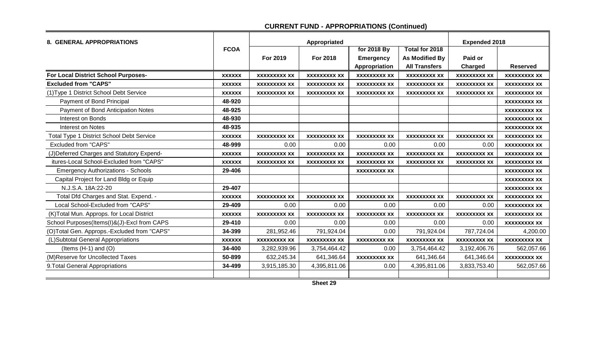|                                             |               |                     |                     | <b>Expended 2018</b> |                       |                     |                     |
|---------------------------------------------|---------------|---------------------|---------------------|----------------------|-----------------------|---------------------|---------------------|
| 8. GENERAL APPROPRIATIONS                   | <b>FCOA</b>   |                     | Appropriated        |                      |                       |                     |                     |
|                                             |               |                     |                     | for 2018 By          | Total for 2018        |                     |                     |
|                                             |               | For 2019            | For 2018            | <b>Emergency</b>     | <b>As Modified By</b> | Paid or             |                     |
|                                             |               |                     |                     | Appropriation        | <b>All Transfers</b>  | <b>Charged</b>      | <b>Reserved</b>     |
| For Local District School Purposes-         | <b>XXXXXX</b> | <b>XXXXXXXXX XX</b> | <b>XXXXXXXXX XX</b> | <b>XXXXXXXXX XX</b>  | <b>XXXXXXXXX XX</b>   | <b>XXXXXXXXX XX</b> | <b>XXXXXXXXX XX</b> |
| <b>Excluded from "CAPS"</b>                 | <b>XXXXXX</b> | <b>XXXXXXXXX XX</b> | <b>XXXXXXXXX XX</b> | <b>XXXXXXXXX XX</b>  | <b>XXXXXXXXX XX</b>   | <b>XXXXXXXXX XX</b> | <b>XXXXXXXXX XX</b> |
| (1) Type 1 District School Debt Service     | <b>XXXXXX</b> | <b>XXXXXXXXX XX</b> | <b>XXXXXXXXX XX</b> | <b>XXXXXXXXX XX</b>  | <b>XXXXXXXXX XX</b>   | <b>XXXXXXXXX XX</b> | <b>XXXXXXXXX XX</b> |
| Payment of Bond Principal                   | 48-920        |                     |                     |                      |                       |                     | <b>XXXXXXXXX XX</b> |
| Payment of Bond Anticipation Notes          | 48-925        |                     |                     |                      |                       |                     | <b>XXXXXXXXX XX</b> |
| Interest on Bonds                           | 48-930        |                     |                     |                      |                       |                     | <b>XXXXXXXXX XX</b> |
| Interest on Notes                           | 48-935        |                     |                     |                      |                       |                     | <b>XXXXXXXXX XX</b> |
| Total Type 1 District School Debt Service   | <b>XXXXXX</b> | <b>XXXXXXXXX XX</b> | <b>XXXXXXXXX XX</b> | <b>XXXXXXXXX XX</b>  | <b>XXXXXXXXX XX</b>   | <b>XXXXXXXXX XX</b> | <b>XXXXXXXXX XX</b> |
| <b>Excluded from "CAPS"</b>                 | 48-999        | 0.00                | 0.00                | 0.00                 | 0.00                  | 0.00                | <b>XXXXXXXXX XX</b> |
| (J) Deferred Charges and Statutory Expend-  | <b>XXXXXX</b> | <b>XXXXXXXXX XX</b> | <b>XXXXXXXXX XX</b> | <b>XXXXXXXXX XX</b>  | <b>XXXXXXXXX XX</b>   | <b>XXXXXXXXX XX</b> | <b>XXXXXXXXX XX</b> |
| itures-Local School-Excluded from "CAPS"    | <b>XXXXXX</b> | <b>XXXXXXXXX XX</b> | <b>XXXXXXXXX XX</b> | <b>XXXXXXXXX XX</b>  | <b>XXXXXXXXX XX</b>   | <b>XXXXXXXXX XX</b> | <b>XXXXXXXXX XX</b> |
| <b>Emergency Authorizations - Schools</b>   | 29-406        |                     |                     | <b>XXXXXXXXX XX</b>  |                       |                     | <b>XXXXXXXXX XX</b> |
| Capital Project for Land Bldg or Equip      |               |                     |                     |                      |                       |                     | <b>XXXXXXXXX XX</b> |
| N.J.S.A. 18A:22-20                          | 29-407        |                     |                     |                      |                       |                     | <b>XXXXXXXXX XX</b> |
| Total Dfd Charges and Stat. Expend. -       | <b>XXXXXX</b> | <b>XXXXXXXXX XX</b> | <b>XXXXXXXXX XX</b> | <b>XXXXXXXXX XX</b>  | <b>XXXXXXXXX XX</b>   | <b>XXXXXXXXX XX</b> | <b>XXXXXXXXX XX</b> |
| Local School-Excluded from "CAPS"           | 29-409        | 0.00                | 0.00                | 0.00                 | 0.00                  | 0.00                | <b>XXXXXXXXX XX</b> |
| (K) Total Mun. Approps. for Local District  | <b>XXXXXX</b> | <b>XXXXXXXXX XX</b> | <b>XXXXXXXXX XX</b> | <b>XXXXXXXXX XX</b>  | <b>XXXXXXXXX XX</b>   | <b>XXXXXXXXX XX</b> | <b>XXXXXXXXX XX</b> |
| School Purposes(Items(I)&(J)-Excl from CAPS | 29-410        | 0.00                | 0.00                | 0.00                 | 0.00                  | 0.00                | <b>XXXXXXXXX XX</b> |
| (O)Total Gen. Approps.-Excluded from "CAPS" | 34-399        | 281,952.46          | 791,924.04          | 0.00                 | 791,924.04            | 787,724.04          | 4,200.00            |
| (L)Subtotal General Appropriations          | <b>XXXXXX</b> | <b>XXXXXXXXX XX</b> | <b>XXXXXXXXX XX</b> | <b>XXXXXXXXX XX</b>  | <b>XXXXXXXXX XX</b>   | <b>XXXXXXXXX XX</b> | <b>XXXXXXXXX XX</b> |
| (Items $(H-1)$ and $(O)$                    | 34-400        | 3,282,939.96        | 3,754,464.42        | 0.00                 | 3,754,464.42          | 3,192,406.76        | 562,057.66          |
| (M)Reserve for Uncollected Taxes            | 50-899        | 632,245.34          | 641,346.64          | <b>XXXXXXXXX XX</b>  | 641,346.64            | 641,346.64          | <b>XXXXXXXXX XX</b> |
| 9. Total General Appropriations             | 34-499        | 3,915,185.30        | 4,395,811.06        | 0.00                 | 4,395,811.06          | 3,833,753.40        | 562,057.66          |
|                                             |               |                     |                     |                      |                       |                     |                     |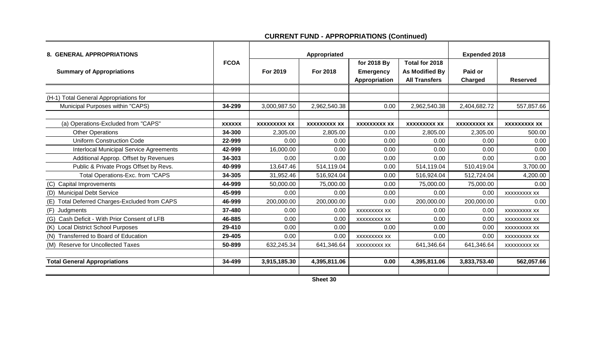| <b>8. GENERAL APPROPRIATIONS</b>                        |               |                     | Appropriated        | <b>Expended 2018</b>                             |                                                                 |                     |                     |
|---------------------------------------------------------|---------------|---------------------|---------------------|--------------------------------------------------|-----------------------------------------------------------------|---------------------|---------------------|
| <b>Summary of Appropriations</b>                        | <b>FCOA</b>   | For 2019            | For 2018            | for 2018 By<br><b>Emergency</b><br>Appropriation | Total for 2018<br><b>As Modified By</b><br><b>All Transfers</b> | Paid or<br>Charged  | <b>Reserved</b>     |
|                                                         |               |                     |                     |                                                  |                                                                 |                     |                     |
| (H-1) Total General Appropriations for                  |               |                     |                     |                                                  |                                                                 |                     |                     |
| Municipal Purposes within "CAPS)                        | 34-299        | 3,000,987.50        | 2,962,540.38        | 0.00                                             | 2,962,540.38                                                    | 2,404,682.72        | 557,857.66          |
| (a) Operations-Excluded from "CAPS"                     | <b>XXXXXX</b> | <b>XXXXXXXXX XX</b> | <b>XXXXXXXXX XX</b> | <b>XXXXXXXXX XX</b>                              | <b>XXXXXXXXX XX</b>                                             | <b>XXXXXXXXX XX</b> | <b>XXXXXXXXX XX</b> |
| <b>Other Operations</b>                                 | 34-300        | 2,305.00            | 2,805.00            | 0.00                                             | 2,805.00                                                        | 2,305.00            | 500.00              |
| <b>Uniform Construction Code</b>                        | 22-999        | 0.00                | 0.00                | 0.00                                             | 0.00                                                            | 0.00                | 0.00                |
| <b>Interlocal Municipal Service Agreements</b>          | 42-999        | 16,000.00           | 0.00                | 0.00                                             | 0.00                                                            | 0.00                | 0.00                |
| Additional Approp. Offset by Revenues                   | 34-303        | 0.00                | 0.00                | 0.00                                             | 0.00                                                            | 0.00                | 0.00                |
| Public & Private Progs Offset by Revs.                  | 40-999        | 13,647.46           | 514,119.04          | 0.00                                             | 514,119.04                                                      | 510,419.04          | 3,700.00            |
| Total Operations-Exc. from "CAPS                        | 34-305        | 31,952.46           | 516,924.04          | 0.00                                             | 516,924.04                                                      | 512,724.04          | 4,200.00            |
| (C)<br><b>Capital Improvements</b>                      | 44-999        | 50,000.00           | 75,000.00           | 0.00                                             | 75,000.00                                                       | 75,000.00           | 0.00                |
| <b>Municipal Debt Service</b><br>(D)                    | 45-999        | 0.00                | 0.00                | 0.00                                             | 0.00                                                            | 0.00                | XXXXXXXXX XX        |
| <b>Total Deferred Charges-Excluded from CAPS</b><br>(E) | 46-999        | 200,000.00          | 200,000.00          | 0.00                                             | 200,000.00                                                      | 200,000.00          | 0.00                |
| (F)<br>Judgments                                        | 37-480        | 0.00                | 0.00                | <b>XXXXXXXXX XX</b>                              | 0.00                                                            | 0.00                | <b>XXXXXXXXX XX</b> |
| Cash Deficit - With Prior Consent of LFB<br>(G)         | 46-885        | 0.00                | 0.00                | <b>XXXXXXXXX XX</b>                              | 0.00                                                            | 0.00                | <b>XXXXXXXXX XX</b> |
| (K) Local District School Purposes                      | 29-410        | 0.00                | 0.00                | 0.00                                             | 0.00                                                            | 0.00                | <b>XXXXXXXXX XX</b> |
| (N) Transferred to Board of Education                   | 29-405        | 0.00                | 0.00                | <b>XXXXXXXXX XX</b>                              | 0.00                                                            | 0.00                | <b>XXXXXXXXX XX</b> |
| (M) Reserve for Uncollected Taxes                       | 50-899        | 632,245.34          | 641,346.64          | <b>XXXXXXXXX XX</b>                              | 641,346.64                                                      | 641,346.64          | XXXXXXXXX XX        |
|                                                         |               |                     |                     |                                                  |                                                                 |                     |                     |
| <b>Total General Appropriations</b>                     | 34-499        | 3,915,185.30        | 4,395,811.06        | 0.00                                             | 4,395,811.06                                                    | 3,833,753.40        | 562,057.66          |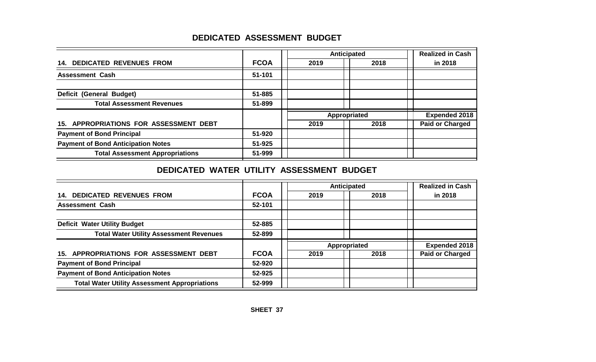# **DEDICATED ASSESSMENT BUDGET**

|                                           |             |      | Anticipated  | <b>Realized in Cash</b> |
|-------------------------------------------|-------------|------|--------------|-------------------------|
| <b>14. DEDICATED REVENUES FROM</b>        | <b>FCOA</b> | 2019 | 2018         | in 2018                 |
| <b>Assessment Cash</b>                    | 51-101      |      |              |                         |
|                                           |             |      |              |                         |
| Deficit (General Budget)                  | 51-885      |      |              |                         |
| <b>Total Assessment Revenues</b>          | 51-899      |      |              |                         |
|                                           |             |      | Appropriated | <b>Expended 2018</b>    |
| 15. APPROPRIATIONS FOR ASSESSMENT DEBT    |             | 2019 | 2018         | <b>Paid or Charged</b>  |
| <b>Payment of Bond Principal</b>          | 51-920      |      |              |                         |
| <b>Payment of Bond Anticipation Notes</b> | 51-925      |      |              |                         |
| <b>Total Assessment Appropriations</b>    | 51-999      |      |              |                         |

# **DEDICATED WATER UTILITY ASSESSMENT BUDGET**

|                                                      |             |      | Anticipated  | <b>Realized in Cash</b> |
|------------------------------------------------------|-------------|------|--------------|-------------------------|
| <b>14. DEDICATED REVENUES FROM</b>                   | <b>FCOA</b> | 2019 | 2018         | in 2018                 |
| <b>Assessment Cash</b>                               | 52-101      |      |              |                         |
| <b>Deficit Water Utility Budget</b>                  | 52-885      |      |              |                         |
|                                                      |             |      |              |                         |
| <b>Total Water Utility Assessment Revenues</b>       | 52-899      |      |              |                         |
|                                                      |             |      | Appropriated | <b>Expended 2018</b>    |
| 15. APPROPRIATIONS FOR ASSESSMENT DEBT               | <b>FCOA</b> | 2019 | 2018         | <b>Paid or Charged</b>  |
| <b>Payment of Bond Principal</b>                     | 52-920      |      |              |                         |
| <b>Payment of Bond Anticipation Notes</b>            | 52-925      |      |              |                         |
| <b>Total Water Utility Assessment Appropriations</b> | 52-999      |      |              |                         |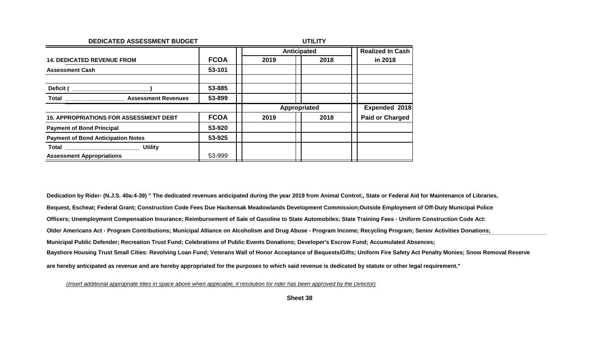| DEDICATED ASSESSMENT BUDGET                       | <b>UTILITY</b> |      |                    |                         |  |  |
|---------------------------------------------------|----------------|------|--------------------|-------------------------|--|--|
|                                                   |                |      | <b>Anticipated</b> | <b>Realized In Cash</b> |  |  |
| <b>14. DEDICATED REVENUE FROM</b>                 | <b>FCOA</b>    | 2019 | 2018               | in 2018                 |  |  |
| <b>Assessment Cash</b>                            | 53-101         |      |                    |                         |  |  |
| Deficit (                                         | 53-885         |      |                    |                         |  |  |
| Total<br><b>Assessment Revenues</b>               | 53-899         |      |                    |                         |  |  |
|                                                   |                |      | Appropriated       | Expended 2018           |  |  |
| <b>15. APPROPRIATIONS FOR ASSESSMENT DEBT</b>     | <b>FCOA</b>    | 2019 | 2018               | <b>Paid or Charged</b>  |  |  |
| <b>Payment of Bond Principal</b>                  | 53-920         |      |                    |                         |  |  |
| <b>Payment of Bond Anticipation Notes</b>         | 53-925         |      |                    |                         |  |  |
| <b>Utility</b><br><b>Total Experimental Total</b> |                |      |                    |                         |  |  |
| <b>Assessment Appropriations</b>                  | 53-999         |      |                    |                         |  |  |

**Dedication by Rider- (N.J.S. 40a:4-39) " The dedicated revenues anticipated during the year 2019 from Animal Control;, State or Federal Aid for Maintenance of Libraries, Bequest, Escheat; Federal Grant; Construction Code Fees Due Hackensak Meadowlands Development Commission;Outside Employment of Off-Duty Municipal Police Officers; Unemployment Compensation Insurance; Reimbursement of Sale of Gasoline to State Automobiles; State Training Fees - Uniform Construction Code Act: Older Americans Act - Program Contributions; Municipal Alliance on Alcoholism and Drug Abuse - Program Income; Recycling Program; Senior Activities Donations; Municipal Public Defender; Recreation Trust Fund; Celebrations of Public Events Donations; Developer's Escrow Fund; Accumulated Absences; Bayshore Housing Trust Small Cities: Revolving Loan Fund; Veterans Wall of Honor Acceptance of Bequests/Gifts; Uniform Fire Safety Act Penalty Monies; Snow Removal Reserve are hereby anticipated as revenue and are hereby appropriated for the purposes to which said revenue is dedicated by statute or other legal requirement."**

*(Insert additional appropriate titles in space above when applicable, if resolution for rider has been approved by the Director)*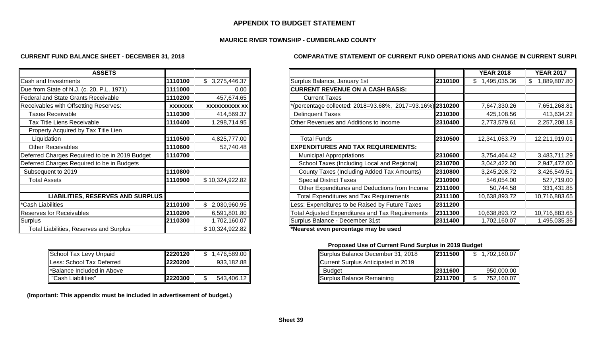#### **APPENDIX TO BUDGET STATEMENT**

#### **MAURICE RIVER TOWNSHIP - CUMBERLAND COUNTY**

#### **CURRENT FUND BALANCE SHEET - DECEMBER 31, 2018**

| <b>COMPARATIVE STATEMENT OF CURRENT FUND OPERATIONS AND CHANGE IN CURRENT SURPI</b> |  |
|-------------------------------------------------------------------------------------|--|
|-------------------------------------------------------------------------------------|--|

| <b>ASSETS</b>                                  |                |                      |                                                             |
|------------------------------------------------|----------------|----------------------|-------------------------------------------------------------|
| Cash and Investments                           | 1110100        | \$3,275,446.37       | Surplus Balance, January 1st<br>2310100                     |
| Due from State of N.J. (c. 20, P.L. 1971)      | 1111000        | 0.00                 | CURRENT REVENUE ON A CASH BASIS:                            |
| Federal and State Grants Receivable            | 1110200        | 457,674.65           | <b>Current Taxes</b>                                        |
| Receivables with Offsetting Reserves:          | <b>XXXXXXX</b> | <b>XXXXXXXXXX XX</b> | (percentage collected: 2018=93.68%, 2017=93.16%) 2310200    |
| <b>Taxes Receivable</b>                        | 1110300        | 414,569.37           | 2310300<br><b>Delinquent Taxes</b>                          |
| Tax Title Liens Receivable                     | 1110400        | 1,298,714.95         | 2310400<br>Other Revenues and Additions to Income           |
| Property Acquired by Tax Title Lien            |                |                      |                                                             |
| Liquidation                                    | 1110500        | 4,825,777.00         | 2310500<br><b>Total Funds</b>                               |
| <b>Other Receivables</b>                       | 1110600        | 52,740.48            | EXPENDITURES AND TAX REQUIREMENTS:                          |
| Deferred Charges Required to be in 2019 Budget | 1110700        |                      | 2310600<br><b>Municipal Appropriations</b>                  |
| Deferred Charges Required to be in Budgets     |                |                      | School Taxes (Including Local and Regional)<br>2310700      |
| Subsequent to 2019                             | 1110800        |                      | 2310800<br>County Taxes (Including Added Tax Amounts)       |
| <b>Total Assets</b>                            | 1110900        | \$10,324,922.82      | 2310900<br><b>Special District Taxes</b>                    |
|                                                |                |                      | 2311000<br>Other Expenditures and Deductions from Income    |
| LIABILITIES, RESERVES AND SURPLUS              |                |                      | <b>Total Expenditures and Tax Requirements</b><br>2311100   |
| *Cash Liabilities                              | 2110100        | 2,030,960.95         | Less: Expenditures to be Raised by Future Taxes<br>2311200  |
| <b>Reserves for Receivables</b>                | 2110200        | 6,591,801.80         | Total Adjusted Expenditures and Tax Requirements<br>2311300 |
| Surplus                                        | 2110300        | 1,702,160.07         | Surplus Balance - December 31st<br>2311400                  |
| <b>Total Liabilities, Reserves and Surplus</b> |                | \$10,324,922.82      | *Nearest even percentage may be used                        |

| School Tax Levy Unpaid      | 2220120 | 1,476,589.00 Ⅱ | Surplus Balance December 31, 201    |
|-----------------------------|---------|----------------|-------------------------------------|
| lLess: School Tax Deferred  | 2220200 | 933,182.88     | Current Surplus Anticipated in 2019 |
| l*Balance Included in Above |         |                | <b>Budget</b>                       |
| "Cash Liabilities"          | 2220300 | 543,406.12     | Surplus Balance Remaining           |

 **(Important: This appendix must be included in advertisement of budget.)**

| <b>ASSETS</b>                                  |                |                      |                                                          |         | <b>YEAR 2018</b> | <b>YEAR 2017</b>   |
|------------------------------------------------|----------------|----------------------|----------------------------------------------------------|---------|------------------|--------------------|
| Cash and Investments                           | 1110100        | \$3,275,446.37       | Surplus Balance, January 1st                             | 2310100 | \$1,495,035.36   | \$<br>1,889,807.80 |
| Due from State of N.J. (c. 20, P.L. 1971)      | 1111000        | 0.00                 | <b>CURRENT REVENUE ON A CASH BASIS:</b>                  |         |                  |                    |
| <b>Federal and State Grants Receivable</b>     | 1110200        | 457,674.65           | <b>Current Taxes</b>                                     |         |                  |                    |
| Receivables with Offsetting Reserves:          | <b>XXXXXXX</b> | <b>XXXXXXXXXX XX</b> | (percentage collected: 2018=93.68%, 2017=93.16%) 2310200 |         | 7,647,330.26     | 7,651,268.81       |
| <b>Taxes Receivable</b>                        | 1110300        | 414,569.37           | <b>Delinquent Taxes</b>                                  | 2310300 | 425,108.56       | 413,634.22         |
| Tax Title Liens Receivable                     | 1110400        | 1,298,714.95         | Other Revenues and Additions to Income                   | 2310400 | 2,773,579.61     | 2,257,208.18       |
| Property Acquired by Tax Title Lien            |                |                      |                                                          |         |                  |                    |
| Liquidation                                    | 1110500        | 4,825,777.00         | Total Funds                                              | 2310500 | 12,341,053.79    | 12,211,919.01      |
| <b>Other Receivables</b>                       | 1110600        | 52,740.48            | <b>EXPENDITURES AND TAX REQUIREMENTS:</b>                |         |                  |                    |
| Deferred Charges Required to be in 2019 Budget | 1110700        |                      | <b>Municipal Appropriations</b>                          | 2310600 | 3,754,464.42     | 3,483,711.29       |
| Deferred Charges Required to be in Budgets     |                |                      | School Taxes (Including Local and Regional)              | 2310700 | 3,042,422.00     | 2,947,472.00       |
| Subsequent to 2019                             | 1110800        |                      | County Taxes (Including Added Tax Amounts)               | 2310800 | 3,245,208.72     | 3,426,549.51       |
| <b>Total Assets</b>                            | 1110900        | \$10,324,922.82      | <b>Special District Taxes</b>                            | 2310900 | 546,054.00       | 527,719.00         |
|                                                |                |                      | Other Expenditures and Deductions from Income            | 2311000 | 50,744.58        | 331,431.85         |
| LIABILITIES, RESERVES AND SURPLUS              |                |                      | <b>Total Expenditures and Tax Requirements</b>           | 2311100 | 10,638,893.72    | 10,716,883.65      |
| *Cash Liabilities                              | 2110100        | \$2,030,960.95       | Less: Expenditures to be Raised by Future Taxes          | 2311200 |                  |                    |
| <b>Reserves for Receivables</b>                | 2110200        | 6,591,801.80         | Total Adjusted Expenditures and Tax Requirements         | 2311300 | 10,638,893.72    | 10,716,883.65      |
| Surplus                                        | 2110300        | 1,702,160.07         | Surplus Balance - December 31st                          | 2311400 | 1,702,160.07     | 1,495,035.36       |
| Total Liabilities, Pesarves and Surplus        |                | \$10,324,022,82      | *Nearest even nercentage may be used                     |         |                  |                    |

#### **Proposed Use of Current Fund Surplus in 2019 Budget**

| School Tax Levy Unpaid     | 2220120 | .476,589.00 | Surplus Balance December 31, 2018   | 2311500 | ,702,160.07 |
|----------------------------|---------|-------------|-------------------------------------|---------|-------------|
| Less: School Tax Deferred  | 2220200 | 933,182.88  | Current Surplus Anticipated in 2019 |         |             |
| *Balance Included in Above |         |             | <b>Budget</b>                       | 2311600 | 950,000.00  |
| "Cash Liabilities"         | 2220300 | 543,406.12  | <b>I</b> ISurplus Balance Remaining | 2311700 | 752,160.07  |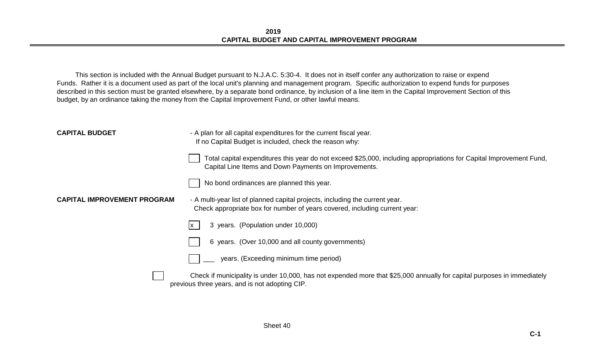This section is included with the Annual Budget pursuant to N.J.A.C. 5:30-4. It does not in itself confer any authorization to raise or expend Funds. Rather it is a document used as part of the local unit's planning and management program. Specific authorization to expend funds for purposes described in this section must be granted elsewhere, by a separate bond ordinance, by inclusion of a line item in the Capital Improvement Section of this budget, by an ordinance taking the money from the Capital Improvement Fund, or other lawful means.

| <b>CAPITAL BUDGET</b>              | - A plan for all capital expenditures for the current fiscal year.<br>If no Capital Budget is included, check the reason why:                                                |  |  |  |  |  |
|------------------------------------|------------------------------------------------------------------------------------------------------------------------------------------------------------------------------|--|--|--|--|--|
|                                    | Total capital expenditures this year do not exceed \$25,000, including appropriations for Capital Improvement Fund,<br>Capital Line Items and Down Payments on Improvements. |  |  |  |  |  |
|                                    | No bond ordinances are planned this year.                                                                                                                                    |  |  |  |  |  |
| <b>CAPITAL IMPROVEMENT PROGRAM</b> | - A multi-year list of planned capital projects, including the current year.<br>Check appropriate box for number of years covered, including current year:                   |  |  |  |  |  |
|                                    | 3 years. (Population under 10,000)<br>Ix.                                                                                                                                    |  |  |  |  |  |
|                                    | 6 years. (Over 10,000 and all county governments)                                                                                                                            |  |  |  |  |  |
|                                    | years. (Exceeding minimum time period)                                                                                                                                       |  |  |  |  |  |
|                                    | Check if municipality is under 10,000, has not expended more that \$25,000 annually for capital purposes in immediately<br>previous three years, and is not adopting CIP.    |  |  |  |  |  |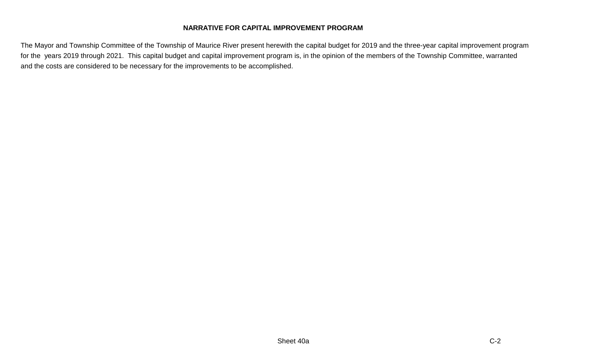#### **NARRATIVE FOR CAPITAL IMPROVEMENT PROGRAM**

The Mayor and Township Committee of the Township of Maurice River present herewith the capital budget for 2019 and the three-year capital improvement program for the years 2019 through 2021. This capital budget and capital improvement program is, in the opinion of the members of the Township Committee, warranted and the costs are considered to be necessary for the improvements to be accomplished.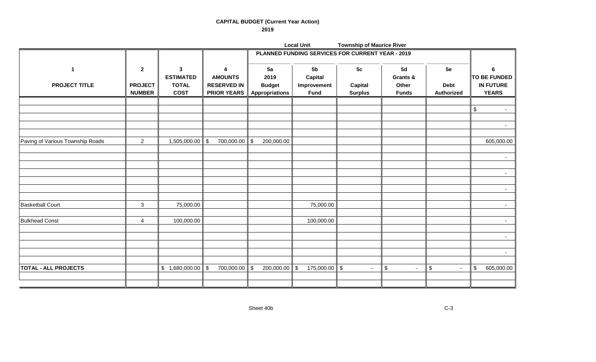#### **CAPITAL BUDGET (Current Year Action) 2019**

|                                  |                                 |                                  |                                          |                                        | <b>Local Unit</b>                                | <b>Township of Maurice River</b> |                       |                           |                                       |  |
|----------------------------------|---------------------------------|----------------------------------|------------------------------------------|----------------------------------------|--------------------------------------------------|----------------------------------|-----------------------|---------------------------|---------------------------------------|--|
|                                  |                                 |                                  |                                          |                                        | PLANNED FUNDING SERVICES FOR CURRENT YEAR - 2019 |                                  |                       |                           |                                       |  |
| $\mathbf{1}$                     | $\boldsymbol{2}$                | $\mathbf{3}$<br><b>ESTIMATED</b> | 4<br><b>AMOUNTS</b>                      | 5a<br>2019                             | 5 <sub>b</sub><br><b>Capital</b>                 | 5c                               | 5d<br>Grants &        | 5e                        | $6\phantom{1}$<br><b>TO BE FUNDED</b> |  |
| <b>PROJECT TITLE</b>             | <b>PROJECT</b><br><b>NUMBER</b> | <b>TOTAL</b><br><b>COST</b>      | <b>RESERVED IN</b><br><b>PRIOR YEARS</b> | <b>Budget</b><br><b>Appropriations</b> | Improvement<br>Fund                              | Capital<br><b>Surplus</b>        | Other<br><b>Funds</b> | <b>Debt</b><br>Authorized | <b>IN FUTURE</b><br><b>YEARS</b>      |  |
|                                  |                                 |                                  |                                          |                                        |                                                  |                                  |                       |                           | $\frac{1}{2}$<br>$\sim$               |  |
|                                  |                                 |                                  |                                          |                                        |                                                  |                                  |                       |                           |                                       |  |
| Paving of Various Township Roads | $\overline{2}$                  | 1,505,000.00                     | $\sqrt{3}$<br>700,000.00                 | \$<br>200,000.00                       |                                                  |                                  |                       |                           | 605,000.00                            |  |
|                                  |                                 |                                  |                                          |                                        |                                                  |                                  |                       |                           | $\sim$                                |  |
|                                  |                                 |                                  |                                          |                                        |                                                  |                                  |                       |                           | $\sim$                                |  |
|                                  |                                 |                                  |                                          |                                        |                                                  |                                  |                       |                           | $\sim$                                |  |
| <b>Basketball Court</b>          | $\mathbf{3}$                    | 75,000.00                        |                                          |                                        | 75,000.00                                        |                                  |                       |                           | $\sim$                                |  |
| <b>Bulkhead Const</b>            | 4                               | 100,000.00                       |                                          |                                        | 100,000.00                                       |                                  |                       |                           | $\sim$                                |  |
|                                  |                                 |                                  |                                          |                                        |                                                  |                                  |                       |                           | $\sim$                                |  |
|                                  |                                 |                                  |                                          |                                        |                                                  |                                  |                       |                           | $\sim$                                |  |
| <b>TOTAL - ALL PROJECTS</b>      |                                 | \$1,680,000.00                   | $\sqrt{3}$<br>700,000.00                 | \$<br>200,000.00                       | $175,000.00$ \$<br>$\sqrt{3}$                    | $\sim$                           | \$<br>$\blacksquare$  | \$<br>$\sim$              | $\mathfrak{S}$<br>605,000.00          |  |
|                                  |                                 |                                  |                                          |                                        |                                                  |                                  |                       |                           |                                       |  |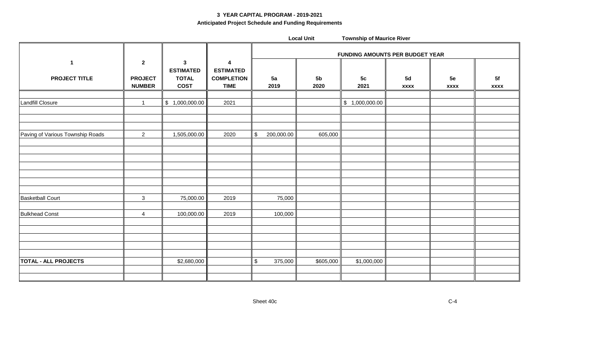#### **3 YEAR CAPITAL PROGRAM - 2019-2021 Anticipated Project Schedule and Funding Requirements**

|                                      |                                                 |                                                                 |                                                           |                             | <b>Local Unit</b>      | <b>Township of Maurice River</b> |                   |                   |                   |  |  |
|--------------------------------------|-------------------------------------------------|-----------------------------------------------------------------|-----------------------------------------------------------|-----------------------------|------------------------|----------------------------------|-------------------|-------------------|-------------------|--|--|
|                                      |                                                 |                                                                 |                                                           |                             |                        | FUNDING AMOUNTS PER BUDGET YEAR  |                   |                   |                   |  |  |
| $\mathbf{1}$<br><b>PROJECT TITLE</b> | $\mathbf{2}$<br><b>PROJECT</b><br><b>NUMBER</b> | $\mathbf{3}$<br><b>ESTIMATED</b><br><b>TOTAL</b><br><b>COST</b> | 4<br><b>ESTIMATED</b><br><b>COMPLETION</b><br><b>TIME</b> | 5a<br>2019                  | 5 <sub>b</sub><br>2020 | 5 <sub>c</sub><br>2021           | 5d<br><b>XXXX</b> | 5e<br><b>XXXX</b> | 5f<br><b>XXXX</b> |  |  |
| Landfill Closure                     | $\mathbf{1}$                                    | \$1,000,000.00                                                  | 2021                                                      |                             |                        | \$1,000,000.00                   |                   |                   |                   |  |  |
| Paving of Various Township Roads     | $\overline{2}$                                  | 1,505,000.00                                                    | 2020                                                      | $\mathfrak s$<br>200,000.00 | 605,000                |                                  |                   |                   |                   |  |  |
|                                      |                                                 |                                                                 |                                                           |                             |                        |                                  |                   |                   |                   |  |  |
| <b>Basketball Court</b>              | $\mathbf{3}$                                    | 75,000.00                                                       | 2019                                                      | 75,000                      |                        |                                  |                   |                   |                   |  |  |
| <b>Bulkhead Const</b>                | 4                                               | 100,000.00                                                      | 2019                                                      | 100,000                     |                        |                                  |                   |                   |                   |  |  |
|                                      |                                                 |                                                                 |                                                           |                             |                        |                                  |                   |                   |                   |  |  |
| <b>TOTAL - ALL PROJECTS</b>          |                                                 | \$2,680,000                                                     |                                                           | $$\mathbb{S}$$<br>375,000   | \$605,000              | \$1,000,000                      |                   |                   |                   |  |  |
|                                      |                                                 |                                                                 |                                                           |                             |                        |                                  |                   |                   |                   |  |  |

Sheet 40c C-4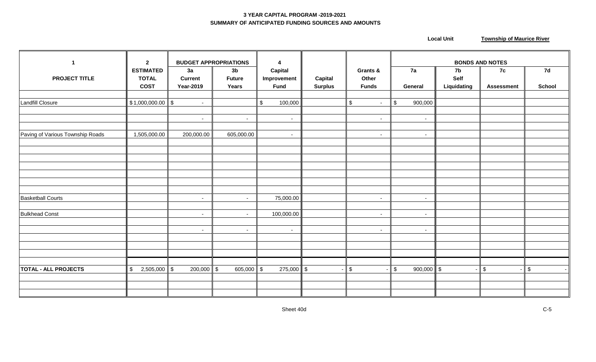#### **3 YEAR CAPITAL PROGRAM -2019-2021 SUMMARY OF ANTICIPATED FUNDING SOURCES AND AMOUNTS**

 **Local Unit Township of Maurice River** 

| $\mathbf{1}$                     | $\mathbf{2}$                                    |                                          | <b>BUDGET APPROPRIATIONS</b>             | 4                                            |                           |                                   | <b>BONDS AND NOTES</b>             |                                  |                         |                          |
|----------------------------------|-------------------------------------------------|------------------------------------------|------------------------------------------|----------------------------------------------|---------------------------|-----------------------------------|------------------------------------|----------------------------------|-------------------------|--------------------------|
| <b>PROJECT TITLE</b>             | <b>ESTIMATED</b><br><b>TOTAL</b><br><b>COST</b> | 3a<br><b>Current</b><br><b>Year-2019</b> | 3 <sub>b</sub><br><b>Future</b><br>Years | <b>Capital</b><br>Improvement<br><b>Fund</b> | Capital<br><b>Surplus</b> | Grants &<br>Other<br><b>Funds</b> | 7a<br>General                      | 7b<br><b>Self</b><br>Liquidating | 7c<br><b>Assessment</b> | 7d<br><b>School</b>      |
|                                  |                                                 |                                          |                                          |                                              |                           |                                   |                                    |                                  |                         |                          |
| Landfill Closure                 | $$1,000,000.00$ \$                              | $\sim$                                   |                                          | $\mathfrak s$<br>100,000                     |                           | $\mathfrak{S}$<br>$\sim$          | $\sqrt[6]{\frac{1}{2}}$<br>900,000 |                                  |                         |                          |
|                                  |                                                 | $\sim$                                   | $\sim$                                   | $\sim$                                       |                           | $\sim$                            | $\sim$                             |                                  |                         |                          |
|                                  |                                                 |                                          |                                          |                                              |                           |                                   |                                    |                                  |                         |                          |
| Paving of Various Township Roads | 1,505,000.00                                    | 200,000.00                               | 605,000.00                               | $\sim$                                       |                           | $\sim$                            | $\sim$                             |                                  |                         |                          |
|                                  |                                                 |                                          |                                          |                                              |                           |                                   |                                    |                                  |                         |                          |
|                                  |                                                 |                                          |                                          |                                              |                           |                                   |                                    |                                  |                         |                          |
|                                  |                                                 |                                          |                                          |                                              |                           |                                   |                                    |                                  |                         |                          |
|                                  |                                                 |                                          |                                          |                                              |                           |                                   |                                    |                                  |                         |                          |
|                                  |                                                 |                                          |                                          |                                              |                           |                                   |                                    |                                  |                         |                          |
|                                  |                                                 |                                          |                                          |                                              |                           |                                   |                                    |                                  |                         |                          |
|                                  |                                                 |                                          |                                          |                                              |                           |                                   |                                    |                                  |                         |                          |
| <b>Basketball Courts</b>         |                                                 | $\overline{\phantom{a}}$                 | $\sim$                                   | 75,000.00                                    |                           | $\sim$                            | $\sim$                             |                                  |                         |                          |
| <b>Bulkhead Const</b>            |                                                 | $\sim$                                   | $\sim$                                   | 100,000.00                                   |                           | $\sim$                            | $\sim$                             |                                  |                         |                          |
|                                  |                                                 |                                          |                                          |                                              |                           |                                   |                                    |                                  |                         |                          |
|                                  |                                                 | $\sim$                                   | $\sim$                                   | $\sim$                                       |                           | $\sim$                            | $\sim$                             |                                  |                         |                          |
|                                  |                                                 |                                          |                                          |                                              |                           |                                   |                                    |                                  |                         |                          |
|                                  |                                                 |                                          |                                          |                                              |                           |                                   |                                    |                                  |                         |                          |
|                                  |                                                 |                                          |                                          |                                              |                           |                                   |                                    |                                  |                         |                          |
|                                  |                                                 |                                          |                                          |                                              |                           |                                   |                                    |                                  |                         |                          |
| <b>TOTAL - ALL PROJECTS</b>      | $\mathfrak s$<br>2,505,000                      | $200,000$ \$<br>$\sqrt[6]{\frac{1}{2}}$  | 605,000 $\ $ \$                          | $275,000$ \$                                 |                           | $\boldsymbol{\mathsf{S}}$         | $\mathfrak s$<br>900,000 \$        |                                  | $\mathfrak{S}$          | $\mathfrak{S}$<br>$\sim$ |
|                                  |                                                 |                                          |                                          |                                              |                           |                                   |                                    |                                  |                         |                          |
|                                  |                                                 |                                          |                                          |                                              |                           |                                   |                                    |                                  |                         |                          |
|                                  |                                                 |                                          |                                          |                                              |                           |                                   |                                    |                                  |                         |                          |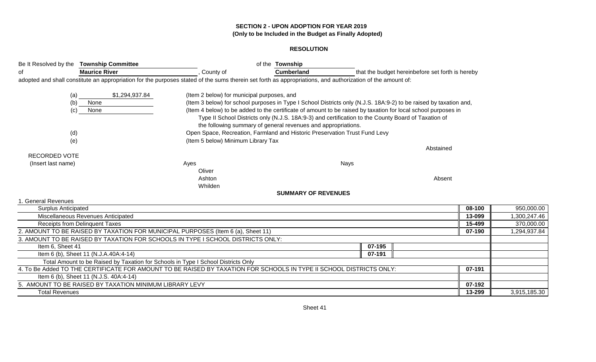#### **SECTION 2 - UPON ADOPTION FOR YEAR 2019 (Only to be Included in the Budget as Finally Adopted)**

#### **RESOLUTION**

| Be It Resolved by the Township Committee |                                                                                                                                                            |                                            | of the Township                                               |                                                                                                                   |                                                  |                  |                            |
|------------------------------------------|------------------------------------------------------------------------------------------------------------------------------------------------------------|--------------------------------------------|---------------------------------------------------------------|-------------------------------------------------------------------------------------------------------------------|--------------------------------------------------|------------------|----------------------------|
| οf                                       | <b>Maurice River</b>                                                                                                                                       | County of                                  | <b>Cumberland</b>                                             |                                                                                                                   | that the budget hereinbefore set forth is hereby |                  |                            |
|                                          | adopted and shall constitute an appropriation for the purposes stated of the sums therein set forth as appropriations, and authorization of the amount of: |                                            |                                                               |                                                                                                                   |                                                  |                  |                            |
| (a)                                      | \$1,294,937.84                                                                                                                                             | (Item 2 below) for municipal purposes, and |                                                               |                                                                                                                   |                                                  |                  |                            |
| (b)                                      | None                                                                                                                                                       |                                            |                                                               | (Item 3 below) for school purposes in Type I School Districts only (N.J.S. 18A:9-2) to be raised by taxation and, |                                                  |                  |                            |
| (c)                                      | None                                                                                                                                                       |                                            |                                                               | (Item 4 below) to be added to the certificate of amount to be raised by taxation for local school purposes in     |                                                  |                  |                            |
|                                          |                                                                                                                                                            |                                            |                                                               | Type II School Districts only (N.J.S. 18A:9-3) and certification to the County Board of Taxation of               |                                                  |                  |                            |
|                                          |                                                                                                                                                            |                                            | the following summary of general revenues and appropriations. |                                                                                                                   |                                                  |                  |                            |
| (d)                                      |                                                                                                                                                            |                                            |                                                               | Open Space, Recreation, Farmland and Historic Preservation Trust Fund Levy                                        |                                                  |                  |                            |
| (e)                                      |                                                                                                                                                            | (Item 5 below) Minimum Library Tax         |                                                               |                                                                                                                   |                                                  |                  |                            |
|                                          |                                                                                                                                                            |                                            |                                                               |                                                                                                                   | Abstained                                        |                  |                            |
| <b>RECORDED VOTE</b>                     |                                                                                                                                                            |                                            |                                                               |                                                                                                                   |                                                  |                  |                            |
| (Insert last name)                       |                                                                                                                                                            | Ayes                                       |                                                               | Nays                                                                                                              |                                                  |                  |                            |
|                                          |                                                                                                                                                            | Oliver                                     |                                                               |                                                                                                                   |                                                  |                  |                            |
|                                          |                                                                                                                                                            | Ashton                                     |                                                               |                                                                                                                   | Absent                                           |                  |                            |
|                                          |                                                                                                                                                            | Whilden                                    |                                                               |                                                                                                                   |                                                  |                  |                            |
|                                          |                                                                                                                                                            |                                            | <b>SUMMARY OF REVENUES</b>                                    |                                                                                                                   |                                                  |                  |                            |
| 1. General Revenues                      |                                                                                                                                                            |                                            |                                                               |                                                                                                                   |                                                  |                  |                            |
| <b>Surplus Anticipated</b>               |                                                                                                                                                            |                                            |                                                               |                                                                                                                   |                                                  | 08-100           | 950,000.00                 |
| <b>Receipts from Delinquent Taxes</b>    | Miscellaneous Revenues Anticipated                                                                                                                         |                                            |                                                               |                                                                                                                   |                                                  | 13-099<br>15-499 | 1,300,247.46<br>370,000.00 |
|                                          | 2. AMOUNT TO BE RAISED BY TAXATION FOR MUNICIPAL PURPOSES (Item 6 (a), Sheet 11)                                                                           |                                            |                                                               |                                                                                                                   |                                                  | 07-190           | 1,294,937.84               |
|                                          | 3. AMOUNT TO BE RAISED BY TAXATION FOR SCHOOLS IN TYPE I SCHOOL DISTRICTS ONLY:                                                                            |                                            |                                                               |                                                                                                                   |                                                  |                  |                            |
| Item 6, Sheet 41                         |                                                                                                                                                            |                                            |                                                               | 07-195                                                                                                            |                                                  |                  |                            |
|                                          | Item 6 (b), Sheet 11 (N.J.A.40A:4-14)                                                                                                                      |                                            |                                                               | 07-191                                                                                                            |                                                  |                  |                            |
|                                          | Total Amount to be Raised by Taxation for Schools in Type I School Districts Only                                                                          |                                            |                                                               |                                                                                                                   |                                                  |                  |                            |
|                                          | 4. To Be Added TO THE CERTIFICATE FOR AMOUNT TO BE RAISED BY TAXATION FOR SCHOOLS IN TYPE II SCHOOL DISTRICTS ONLY:                                        |                                            |                                                               |                                                                                                                   |                                                  | 07-191           |                            |
|                                          | Item 6 (b), Sheet 11 (N.J.S. 40A:4-14)                                                                                                                     |                                            |                                                               |                                                                                                                   |                                                  |                  |                            |
|                                          | 5. AMOUNT TO BE RAISED BY TAXATION MINIMUM LIBRARY LEVY                                                                                                    |                                            |                                                               |                                                                                                                   |                                                  | 07-192           |                            |
| <b>Total Revenues</b>                    |                                                                                                                                                            |                                            |                                                               |                                                                                                                   |                                                  | 13-299           | 3,915,185.30               |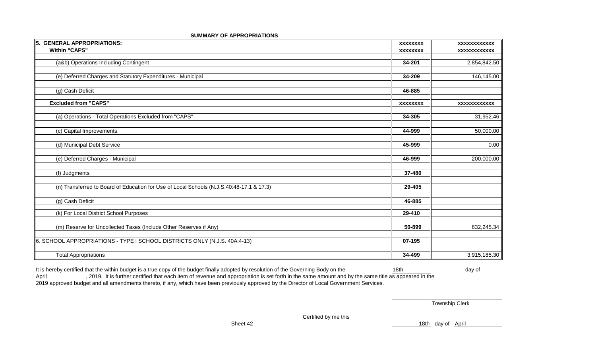| 5. GENERAL APPROPRIATIONS:                                                               | <b>XXXXXXXX</b> | <b>XXXXXXXXXXXX</b> |
|------------------------------------------------------------------------------------------|-----------------|---------------------|
| <b>Within "CAPS"</b>                                                                     | <b>XXXXXXXX</b> | <b>XXXXXXXXXXXX</b> |
|                                                                                          |                 |                     |
| (a&b) Operations Including Contingent                                                    | 34-201          | 2,854,842.50        |
|                                                                                          |                 |                     |
| (e) Deferred Charges and Statutory Expenditures - Municipal                              | 34-209          | 146,145.00          |
|                                                                                          |                 |                     |
| (g) Cash Deficit                                                                         | 46-885          |                     |
|                                                                                          |                 |                     |
| <b>Excluded from "CAPS"</b>                                                              | <b>XXXXXXXX</b> | <b>XXXXXXXXXXXX</b> |
|                                                                                          |                 |                     |
| (a) Operations - Total Operations Excluded from "CAPS"                                   | 34-305          | 31,952.46           |
|                                                                                          |                 |                     |
| (c) Capital Improvements                                                                 | 44-999          | 50,000.00           |
|                                                                                          |                 |                     |
| (d) Municipal Debt Service                                                               | 45-999          | 0.00                |
|                                                                                          |                 |                     |
| (e) Deferred Charges - Municipal                                                         | 46-999          | 200,000.00          |
|                                                                                          |                 |                     |
| (f) Judgments                                                                            | 37-480          |                     |
|                                                                                          |                 |                     |
| (n) Transferred to Board of Education for Use of Local Schools (N.J.S.40:48-17.1 & 17.3) | 29-405          |                     |
|                                                                                          |                 |                     |
| (g) Cash Deficit                                                                         | 46-885          |                     |
|                                                                                          |                 |                     |
| (k) For Local District School Purposes                                                   | 29-410          |                     |
|                                                                                          |                 |                     |
| (m) Reserve for Uncollected Taxes (Include Other Reserves if Any)                        | 50-899          | 632,245.34          |
|                                                                                          |                 |                     |
| 6. SCHOOL APPROPRIATIONS - TYPE I SCHOOL DISTRICTS ONLY (N.J.S. 40A:4-13)                | 07-195          |                     |
|                                                                                          |                 |                     |
|                                                                                          | 34-499          | 3,915,185.30        |
| <b>Total Appropriations</b>                                                              |                 |                     |

#### **SUMMARY OF APPROPRIATIONS**

It is hereby certified that the within budget is a true copy of the budget finally adopted by resolution of the Governing Body on the 18th 18th day of April , 2019. It is further certified that each item of revenue and appropriation is set forth in the same amount and by the same title as appeared in the 2019 approved budget and all amendments thereto, if any, which have been previously approved by the Director of Local Government Services.

Township Clerk

Certified by me this

Sheet 42 18th day of April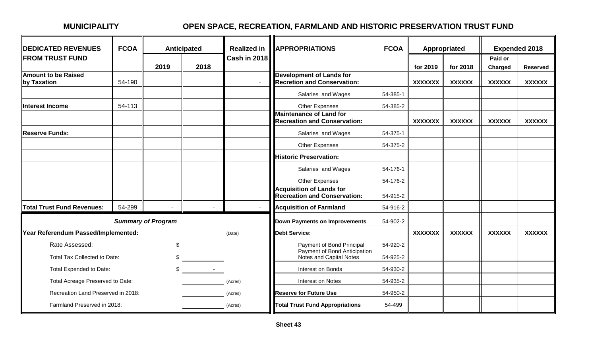# **MUNICIPALITY OPEN SPACE, RECREATION, FARMLAND AND HISTORIC PRESERVATION TRUST FUND**

| <b>DEDICATED REVENUES</b>           | <b>FCOA</b> |                           | <b>Anticipated</b> | <b>Realized in</b>  | <b>APPROPRIATIONS</b>                                                  | <b>FCOA</b> |                | Appropriated  |               | <b>Expended 2018</b> |
|-------------------------------------|-------------|---------------------------|--------------------|---------------------|------------------------------------------------------------------------|-------------|----------------|---------------|---------------|----------------------|
| <b>FROM TRUST FUND</b>              |             |                           |                    | <b>Cash in 2018</b> |                                                                        |             |                |               | Paid or       |                      |
| <b>Amount to be Raised</b>          |             | 2019                      | 2018               |                     | <b>Development of Lands for</b>                                        |             | for 2019       | for 2018      | Charged       | <b>Reserved</b>      |
| by Taxation                         | 54-190      |                           |                    |                     | <b>Recretion and Conservation:</b>                                     |             | <b>XXXXXXX</b> | <b>XXXXXX</b> | <b>XXXXXX</b> | <b>XXXXXX</b>        |
|                                     |             |                           |                    |                     | Salaries and Wages                                                     | 54-385-1    |                |               |               |                      |
| <b>Interest Income</b>              | 54-113      |                           |                    |                     | Other Expenses                                                         | 54-385-2    |                |               |               |                      |
|                                     |             |                           |                    |                     | <b>Maintenance of Land for</b><br><b>Recreation and Conservation:</b>  |             | <b>XXXXXXX</b> | <b>XXXXXX</b> | <b>XXXXXX</b> | <b>XXXXXX</b>        |
| <b>Reserve Funds:</b>               |             |                           |                    |                     | Salaries and Wages                                                     | 54-375-1    |                |               |               |                      |
|                                     |             |                           |                    |                     | Other Expenses                                                         | 54-375-2    |                |               |               |                      |
|                                     |             |                           |                    |                     | <b>Historic Preservation:</b>                                          |             |                |               |               |                      |
|                                     |             |                           |                    |                     | Salaries and Wages                                                     | 54-176-1    |                |               |               |                      |
|                                     |             |                           |                    |                     | Other Expenses                                                         | 54-176-2    |                |               |               |                      |
|                                     |             |                           |                    |                     | <b>Acquisition of Lands for</b><br><b>Recreation and Conservation:</b> | 54-915-2    |                |               |               |                      |
| <b>Total Trust Fund Revenues:</b>   | 54-299      |                           |                    |                     | <b>Acquisition of Farmland</b>                                         | 54-916-2    |                |               |               |                      |
|                                     |             | <b>Summary of Program</b> |                    |                     | <b>Down Payments on Improvements</b>                                   | 54-902-2    |                |               |               |                      |
| Year Referendum Passed/Implemented: |             |                           |                    | (Date)              | <b>Debt Service:</b>                                                   |             | <b>XXXXXXX</b> | <b>XXXXXX</b> | <b>XXXXXX</b> | <b>XXXXXX</b>        |
| Rate Assessed:                      |             | \$                        |                    |                     | Payment of Bond Principal                                              | 54-920-2    |                |               |               |                      |
| Total Tax Collected to Date:        |             | $\mathbb{S}$              |                    |                     | Payment of Bond Anticipation<br>Notes and Capital Notes                | 54-925-2    |                |               |               |                      |
| Total Expended to Date:             |             |                           | $\sim$ $\sim$      |                     | Interest on Bonds                                                      | 54-930-2    |                |               |               |                      |
| Total Acreage Preserved to Date:    |             |                           |                    | (Acres)             | Interest on Notes                                                      | 54-935-2    |                |               |               |                      |
| Recreation Land Preserved in 2018:  |             |                           |                    | (Acres)             | <b>Reserve for Future Use</b>                                          | 54-950-2    |                |               |               |                      |
| Farmland Preserved in 2018:         |             |                           |                    | (Acres)             | <b>Total Trust Fund Appropriations</b>                                 | 54-499      |                |               |               |                      |